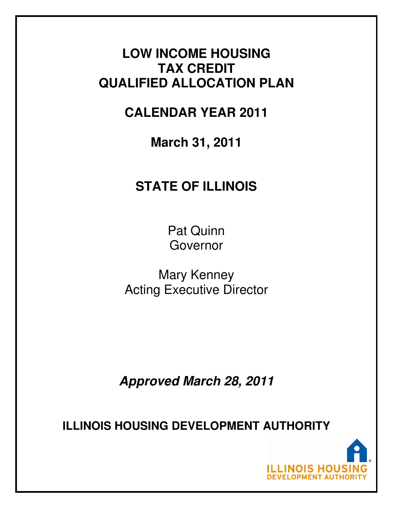# **LOW INCOME HOUSING TAX CREDIT QUALIFIED ALLOCATION PLAN**

# **CALENDAR YEAR 2011**

**March 31, 2011** 

# **STATE OF ILLINOIS**

Pat Quinn Governor

Mary Kenney Acting Executive Director

**Approved March 28, 2011** 

**ILLINOIS HOUSING DEVELOPMENT AUTHORITY**

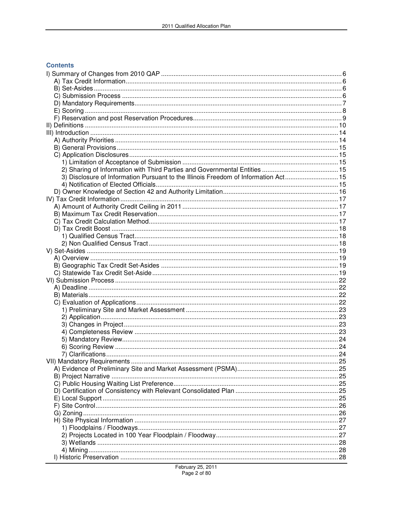#### **Contents**

| 3) Disclosure of Information Pursuant to the Illinois Freedom of Information Act 15 |  |
|-------------------------------------------------------------------------------------|--|
|                                                                                     |  |
|                                                                                     |  |
|                                                                                     |  |
|                                                                                     |  |
|                                                                                     |  |
|                                                                                     |  |
|                                                                                     |  |
|                                                                                     |  |
|                                                                                     |  |
|                                                                                     |  |
|                                                                                     |  |
|                                                                                     |  |
|                                                                                     |  |
|                                                                                     |  |
|                                                                                     |  |
|                                                                                     |  |
|                                                                                     |  |
|                                                                                     |  |
|                                                                                     |  |
|                                                                                     |  |
|                                                                                     |  |
|                                                                                     |  |
|                                                                                     |  |
|                                                                                     |  |
|                                                                                     |  |
|                                                                                     |  |
|                                                                                     |  |
|                                                                                     |  |
|                                                                                     |  |
|                                                                                     |  |
|                                                                                     |  |
|                                                                                     |  |
|                                                                                     |  |
|                                                                                     |  |
|                                                                                     |  |
|                                                                                     |  |
|                                                                                     |  |
|                                                                                     |  |
|                                                                                     |  |
|                                                                                     |  |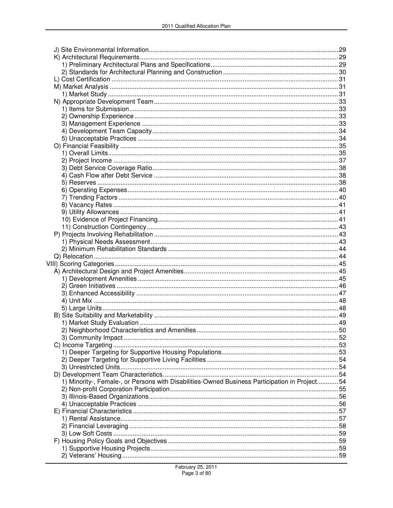| 1) Minority-, Female-, or Persons with Disabilities-Owned Business Participation in Project 54 |  |
|------------------------------------------------------------------------------------------------|--|
|                                                                                                |  |
|                                                                                                |  |
|                                                                                                |  |
|                                                                                                |  |
|                                                                                                |  |
|                                                                                                |  |
|                                                                                                |  |
|                                                                                                |  |
|                                                                                                |  |
|                                                                                                |  |
|                                                                                                |  |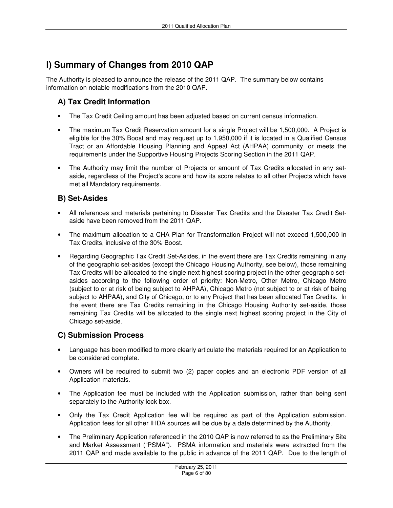## **I) Summary of Changes from 2010 QAP**

The Authority is pleased to announce the release of the 2011 QAP. The summary below contains information on notable modifications from the 2010 QAP.

## **A) Tax Credit Information**

- The Tax Credit Ceiling amount has been adjusted based on current census information.
- The maximum Tax Credit Reservation amount for a single Project will be 1,500,000. A Project is eligible for the 30% Boost and may request up to 1,950,000 if it is located in a Qualified Census Tract or an Affordable Housing Planning and Appeal Act (AHPAA) community, or meets the requirements under the Supportive Housing Projects Scoring Section in the 2011 QAP.
- The Authority may limit the number of Projects or amount of Tax Credits allocated in any setaside, regardless of the Project's score and how its score relates to all other Projects which have met all Mandatory requirements.

## **B) Set-Asides**

- All references and materials pertaining to Disaster Tax Credits and the Disaster Tax Credit Setaside have been removed from the 2011 QAP.
- The maximum allocation to a CHA Plan for Transformation Project will not exceed 1,500,000 in Tax Credits, inclusive of the 30% Boost.
- Regarding Geographic Tax Credit Set-Asides, in the event there are Tax Credits remaining in any of the geographic set-asides (except the Chicago Housing Authority, see below), those remaining Tax Credits will be allocated to the single next highest scoring project in the other geographic setasides according to the following order of priority: Non-Metro, Other Metro, Chicago Metro (subject to or at risk of being subject to AHPAA), Chicago Metro (not subject to or at risk of being subject to AHPAA), and City of Chicago, or to any Project that has been allocated Tax Credits. In the event there are Tax Credits remaining in the Chicago Housing Authority set-aside, those remaining Tax Credits will be allocated to the single next highest scoring project in the City of Chicago set-aside.

## **C) Submission Process**

- Language has been modified to more clearly articulate the materials required for an Application to be considered complete.
- Owners will be required to submit two (2) paper copies and an electronic PDF version of all Application materials.
- The Application fee must be included with the Application submission, rather than being sent separately to the Authority lock box.
- Only the Tax Credit Application fee will be required as part of the Application submission. Application fees for all other IHDA sources will be due by a date determined by the Authority.
- The Preliminary Application referenced in the 2010 QAP is now referred to as the Preliminary Site and Market Assessment ("PSMA"). PSMA information and materials were extracted from the 2011 QAP and made available to the public in advance of the 2011 QAP. Due to the length of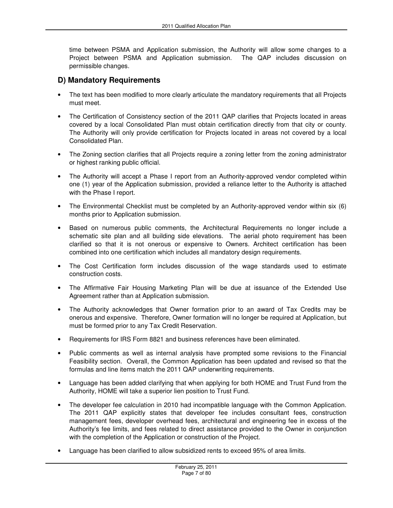time between PSMA and Application submission, the Authority will allow some changes to a Project between PSMA and Application submission. The QAP includes discussion on permissible changes.

### **D) Mandatory Requirements**

- The text has been modified to more clearly articulate the mandatory requirements that all Projects must meet.
- The Certification of Consistency section of the 2011 QAP clarifies that Projects located in areas covered by a local Consolidated Plan must obtain certification directly from that city or county. The Authority will only provide certification for Projects located in areas not covered by a local Consolidated Plan.
- The Zoning section clarifies that all Projects require a zoning letter from the zoning administrator or highest ranking public official.
- The Authority will accept a Phase I report from an Authority-approved vendor completed within one (1) year of the Application submission, provided a reliance letter to the Authority is attached with the Phase I report.
- The Environmental Checklist must be completed by an Authority-approved vendor within six (6) months prior to Application submission.
- Based on numerous public comments, the Architectural Requirements no longer include a schematic site plan and all building side elevations. The aerial photo requirement has been clarified so that it is not onerous or expensive to Owners. Architect certification has been combined into one certification which includes all mandatory design requirements.
- The Cost Certification form includes discussion of the wage standards used to estimate construction costs.
- The Affirmative Fair Housing Marketing Plan will be due at issuance of the Extended Use Agreement rather than at Application submission.
- The Authority acknowledges that Owner formation prior to an award of Tax Credits may be onerous and expensive. Therefore, Owner formation will no longer be required at Application, but must be formed prior to any Tax Credit Reservation.
- Requirements for IRS Form 8821 and business references have been eliminated.
- Public comments as well as internal analysis have prompted some revisions to the Financial Feasibility section. Overall, the Common Application has been updated and revised so that the formulas and line items match the 2011 QAP underwriting requirements.
- Language has been added clarifying that when applying for both HOME and Trust Fund from the Authority, HOME will take a superior lien position to Trust Fund.
- The developer fee calculation in 2010 had incompatible language with the Common Application. The 2011 QAP explicitly states that developer fee includes consultant fees, construction management fees, developer overhead fees, architectural and engineering fee in excess of the Authority's fee limits, and fees related to direct assistance provided to the Owner in conjunction with the completion of the Application or construction of the Project.
- Language has been clarified to allow subsidized rents to exceed 95% of area limits.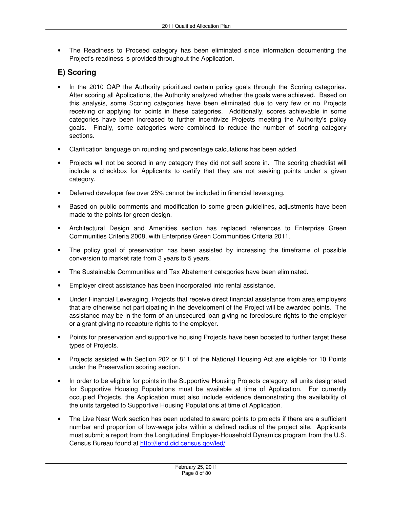• The Readiness to Proceed category has been eliminated since information documenting the Project's readiness is provided throughout the Application.

## **E) Scoring**

- In the 2010 QAP the Authority prioritized certain policy goals through the Scoring categories. After scoring all Applications, the Authority analyzed whether the goals were achieved. Based on this analysis, some Scoring categories have been eliminated due to very few or no Projects receiving or applying for points in these categories. Additionally, scores achievable in some categories have been increased to further incentivize Projects meeting the Authority's policy goals. Finally, some categories were combined to reduce the number of scoring category sections.
- Clarification language on rounding and percentage calculations has been added.
- Projects will not be scored in any category they did not self score in. The scoring checklist will include a checkbox for Applicants to certify that they are not seeking points under a given category.
- Deferred developer fee over 25% cannot be included in financial leveraging.
- Based on public comments and modification to some green guidelines, adjustments have been made to the points for green design.
- Architectural Design and Amenities section has replaced references to Enterprise Green Communities Criteria 2008, with Enterprise Green Communities Criteria 2011.
- The policy goal of preservation has been assisted by increasing the timeframe of possible conversion to market rate from 3 years to 5 years.
- The Sustainable Communities and Tax Abatement categories have been eliminated.
- Employer direct assistance has been incorporated into rental assistance.
- Under Financial Leveraging, Projects that receive direct financial assistance from area employers that are otherwise not participating in the development of the Project will be awarded points. The assistance may be in the form of an unsecured loan giving no foreclosure rights to the employer or a grant giving no recapture rights to the employer.
- Points for preservation and supportive housing Projects have been boosted to further target these types of Projects.
- Projects assisted with Section 202 or 811 of the National Housing Act are eligible for 10 Points under the Preservation scoring section.
- In order to be eligible for points in the Supportive Housing Projects category, all units designated for Supportive Housing Populations must be available at time of Application. For currently occupied Projects, the Application must also include evidence demonstrating the availability of the units targeted to Supportive Housing Populations at time of Application.
- The Live Near Work section has been updated to award points to projects if there are a sufficient number and proportion of low-wage jobs within a defined radius of the project site. Applicants must submit a report from the Longitudinal Employer-Household Dynamics program from the U.S. Census Bureau found at http://lehd.did.census.gov/led/.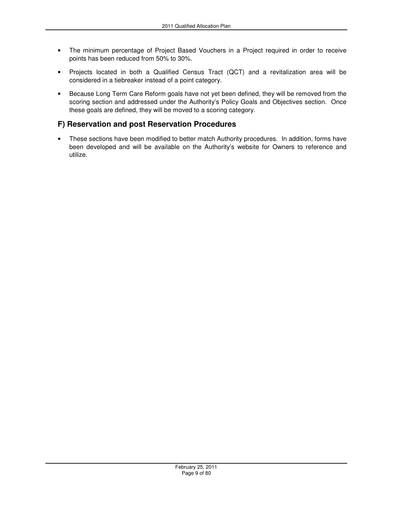- The minimum percentage of Project Based Vouchers in a Project required in order to receive points has been reduced from 50% to 30%.
- Projects located in both a Qualified Census Tract (QCT) and a revitalization area will be considered in a tiebreaker instead of a point category.
- Because Long Term Care Reform goals have not yet been defined, they will be removed from the scoring section and addressed under the Authority's Policy Goals and Objectives section. Once these goals are defined, they will be moved to a scoring category.

## **F) Reservation and post Reservation Procedures**

• These sections have been modified to better match Authority procedures. In addition, forms have been developed and will be available on the Authority's website for Owners to reference and utilize.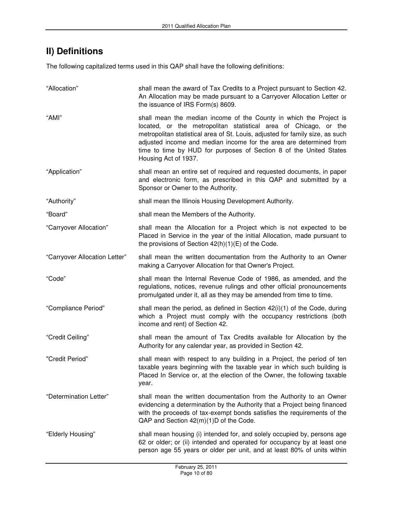## **II) Definitions**

The following capitalized terms used in this QAP shall have the following definitions:

| "Allocation"                  | shall mean the award of Tax Credits to a Project pursuant to Section 42.<br>An Allocation may be made pursuant to a Carryover Allocation Letter or<br>the issuance of IRS Form(s) 8609.                                                                                                                                                                                                     |
|-------------------------------|---------------------------------------------------------------------------------------------------------------------------------------------------------------------------------------------------------------------------------------------------------------------------------------------------------------------------------------------------------------------------------------------|
| "AMI"                         | shall mean the median income of the County in which the Project is<br>located, or the metropolitan statistical area of Chicago, or the<br>metropolitan statistical area of St. Louis, adjusted for family size, as such<br>adjusted income and median income for the area are determined from<br>time to time by HUD for purposes of Section 8 of the United States<br>Housing Act of 1937. |
| "Application"                 | shall mean an entire set of required and requested documents, in paper<br>and electronic form, as prescribed in this QAP and submitted by a<br>Sponsor or Owner to the Authority.                                                                                                                                                                                                           |
| "Authority"                   | shall mean the Illinois Housing Development Authority.                                                                                                                                                                                                                                                                                                                                      |
| "Board"                       | shall mean the Members of the Authority.                                                                                                                                                                                                                                                                                                                                                    |
| "Carryover Allocation"        | shall mean the Allocation for a Project which is not expected to be<br>Placed in Service in the year of the initial Allocation, made pursuant to<br>the provisions of Section $42(h)(1)(E)$ of the Code.                                                                                                                                                                                    |
| "Carryover Allocation Letter" | shall mean the written documentation from the Authority to an Owner<br>making a Carryover Allocation for that Owner's Project.                                                                                                                                                                                                                                                              |
| "Code"                        | shall mean the Internal Revenue Code of 1986, as amended, and the<br>regulations, notices, revenue rulings and other official pronouncements<br>promulgated under it, all as they may be amended from time to time.                                                                                                                                                                         |
| "Compliance Period"           | shall mean the period, as defined in Section 42(i)(1) of the Code, during<br>which a Project must comply with the occupancy restrictions (both<br>income and rent) of Section 42.                                                                                                                                                                                                           |
| "Credit Ceiling"              | shall mean the amount of Tax Credits available for Allocation by the<br>Authority for any calendar year, as provided in Section 42.                                                                                                                                                                                                                                                         |
| "Credit Period"               | shall mean with respect to any building in a Project, the period of ten<br>taxable years beginning with the taxable year in which such building is<br>Placed In Service or, at the election of the Owner, the following taxable<br>year.                                                                                                                                                    |
| "Determination Letter"        | shall mean the written documentation from the Authority to an Owner<br>evidencing a determination by the Authority that a Project being financed<br>with the proceeds of tax-exempt bonds satisfies the requirements of the<br>QAP and Section 42(m)(1)D of the Code.                                                                                                                       |
| "Elderly Housing"             | shall mean housing (i) intended for, and solely occupied by, persons age<br>62 or older; or (ii) intended and operated for occupancy by at least one<br>person age 55 years or older per unit, and at least 80% of units within                                                                                                                                                             |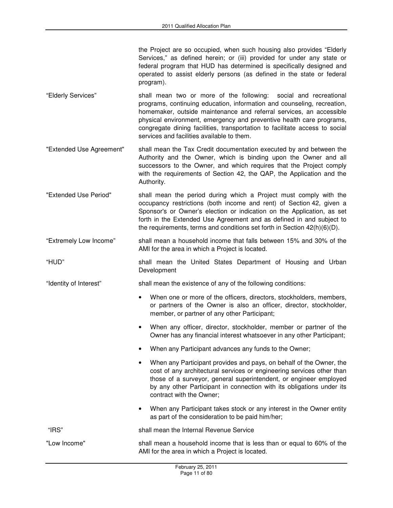the Project are so occupied, when such housing also provides "Elderly Services," as defined herein; or (iii) provided for under any state or federal program that HUD has determined is specifically designed and operated to assist elderly persons (as defined in the state or federal program).

- "Elderly Services" shall mean two or more of the following: social and recreational programs, continuing education, information and counseling, recreation, homemaker, outside maintenance and referral services, an accessible physical environment, emergency and preventive health care programs, congregate dining facilities, transportation to facilitate access to social services and facilities available to them.
- "Extended Use Agreement" shall mean the Tax Credit documentation executed by and between the Authority and the Owner, which is binding upon the Owner and all successors to the Owner, and which requires that the Project comply with the requirements of Section 42, the QAP, the Application and the Authority.
- "Extended Use Period" shall mean the period during which a Project must comply with the occupancy restrictions (both income and rent) of Section 42, given a Sponsor's or Owner's election or indication on the Application, as set forth in the Extended Use Agreement and as defined in and subject to the requirements, terms and conditions set forth in Section 42(h)(6)(D).
- "Extremely Low Income" shall mean a household income that falls between 15% and 30% of the AMI for the area in which a Project is located.
- "HUD" shall mean the United States Department of Housing and Urban Development

"Identity of Interest" shall mean the existence of any of the following conditions:

- When one or more of the officers, directors, stockholders, members, or partners of the Owner is also an officer, director, stockholder, member, or partner of any other Participant;
- When any officer, director, stockholder, member or partner of the Owner has any financial interest whatsoever in any other Participant;
- When any Participant advances any funds to the Owner;
- When any Participant provides and pays, on behalf of the Owner, the cost of any architectural services or engineering services other than those of a surveyor, general superintendent, or engineer employed by any other Participant in connection with its obligations under its contract with the Owner;
- When any Participant takes stock or any interest in the Owner entity as part of the consideration to be paid him/her;

"IRS" shall mean the Internal Revenue Service

"Low Income" shall mean a household income that is less than or equal to 60% of the AMI for the area in which a Project is located.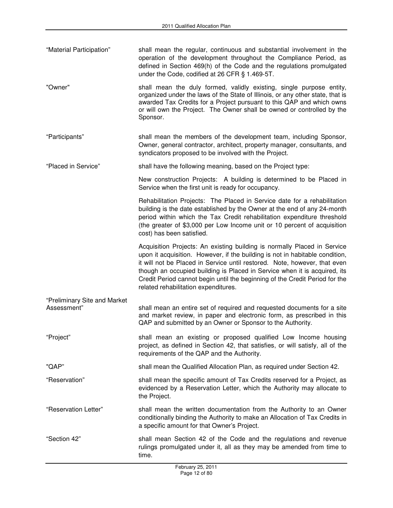| "Material Participation" | shall mean the regular, continuous and substantial involvement in the |
|--------------------------|-----------------------------------------------------------------------|
|                          | operation of the development throughout the Compliance Period, as     |
|                          | defined in Section 469(h) of the Code and the regulations promulgated |
|                          | under the Code, codified at 26 CFR § 1.469-5T.                        |
|                          |                                                                       |

"Owner" shall mean the duly formed, validly existing, single purpose entity, organized under the laws of the State of Illinois, or any other state, that is awarded Tax Credits for a Project pursuant to this QAP and which owns or will own the Project. The Owner shall be owned or controlled by the Sponsor.

"Participants" shall mean the members of the development team, including Sponsor, Owner, general contractor, architect, property manager, consultants, and syndicators proposed to be involved with the Project.

"Placed in Service" shall have the following meaning, based on the Project type:

New construction Projects: A building is determined to be Placed in Service when the first unit is ready for occupancy.

Rehabilitation Projects: The Placed in Service date for a rehabilitation building is the date established by the Owner at the end of any 24-month period within which the Tax Credit rehabilitation expenditure threshold (the greater of \$3,000 per Low Income unit or 10 percent of acquisition cost) has been satisfied.

Acquisition Projects: An existing building is normally Placed in Service upon it acquisition. However, if the building is not in habitable condition, it will not be Placed in Service until restored. Note, however, that even though an occupied building is Placed in Service when it is acquired, its Credit Period cannot begin until the beginning of the Credit Period for the related rehabilitation expenditures.

- "Preliminary Site and Market shall mean an entire set of required and requested documents for a site and market review, in paper and electronic form, as prescribed in this QAP and submitted by an Owner or Sponsor to the Authority.
- "Project" shall mean an existing or proposed qualified Low Income housing project, as defined in Section 42, that satisfies, or will satisfy, all of the requirements of the QAP and the Authority.

"QAP" shall mean the Qualified Allocation Plan, as required under Section 42.

- "Reservation" shall mean the specific amount of Tax Credits reserved for a Project, as evidenced by a Reservation Letter, which the Authority may allocate to the Project.
- "Reservation Letter" shall mean the written documentation from the Authority to an Owner conditionally binding the Authority to make an Allocation of Tax Credits in a specific amount for that Owner's Project.

"Section 42" shall mean Section 42 of the Code and the regulations and revenue rulings promulgated under it, all as they may be amended from time to time.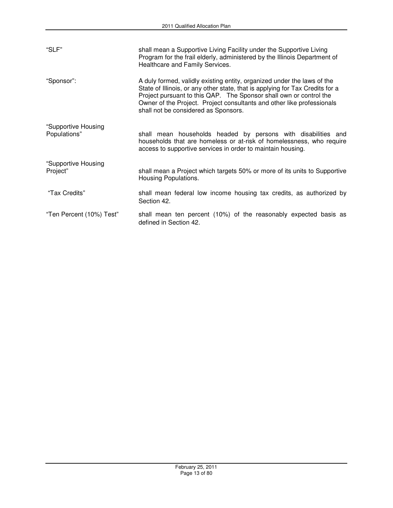| "SLF"                               | shall mean a Supportive Living Facility under the Supportive Living<br>Program for the frail elderly, administered by the Illinois Department of<br>Healthcare and Family Services.                                                                                                                                                              |
|-------------------------------------|--------------------------------------------------------------------------------------------------------------------------------------------------------------------------------------------------------------------------------------------------------------------------------------------------------------------------------------------------|
| "Sponsor":                          | A duly formed, validly existing entity, organized under the laws of the<br>State of Illinois, or any other state, that is applying for Tax Credits for a<br>Project pursuant to this QAP. The Sponsor shall own or control the<br>Owner of the Project. Project consultants and other like professionals<br>shall not be considered as Sponsors. |
| "Supportive Housing<br>Populations" | shall mean households headed by persons with disabilities and<br>households that are homeless or at-risk of homelessness, who require<br>access to supportive services in order to maintain housing.                                                                                                                                             |
| "Supportive Housing<br>Project"     | shall mean a Project which targets 50% or more of its units to Supportive<br>Housing Populations.                                                                                                                                                                                                                                                |
| "Tax Credits"                       | shall mean federal low income housing tax credits, as authorized by<br>Section 42.                                                                                                                                                                                                                                                               |
| "Ten Percent (10%) Test"            | shall mean ten percent (10%) of the reasonably expected basis as<br>defined in Section 42.                                                                                                                                                                                                                                                       |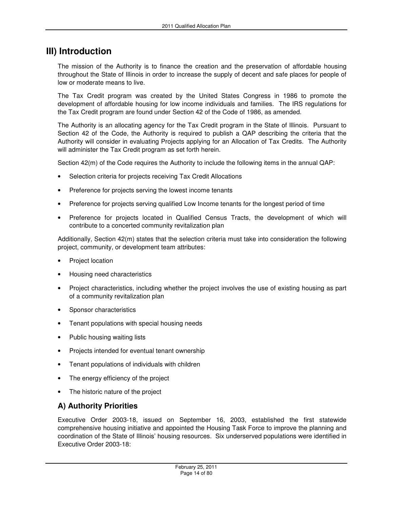## **III) Introduction**

The mission of the Authority is to finance the creation and the preservation of affordable housing throughout the State of Illinois in order to increase the supply of decent and safe places for people of low or moderate means to live.

The Tax Credit program was created by the United States Congress in 1986 to promote the development of affordable housing for low income individuals and families. The IRS regulations for the Tax Credit program are found under Section 42 of the Code of 1986, as amended.

The Authority is an allocating agency for the Tax Credit program in the State of Illinois. Pursuant to Section 42 of the Code, the Authority is required to publish a QAP describing the criteria that the Authority will consider in evaluating Projects applying for an Allocation of Tax Credits. The Authority will administer the Tax Credit program as set forth herein.

Section 42(m) of the Code requires the Authority to include the following items in the annual QAP:

- Selection criteria for projects receiving Tax Credit Allocations
- Preference for projects serving the lowest income tenants
- Preference for projects serving qualified Low Income tenants for the longest period of time
- Preference for projects located in Qualified Census Tracts, the development of which will contribute to a concerted community revitalization plan

Additionally, Section 42(m) states that the selection criteria must take into consideration the following project, community, or development team attributes:

- Project location
- Housing need characteristics
- Project characteristics, including whether the project involves the use of existing housing as part of a community revitalization plan
- Sponsor characteristics
- Tenant populations with special housing needs
- Public housing waiting lists
- Projects intended for eventual tenant ownership
- Tenant populations of individuals with children
- The energy efficiency of the project
- The historic nature of the project

## **A) Authority Priorities**

Executive Order 2003-18, issued on September 16, 2003, established the first statewide comprehensive housing initiative and appointed the Housing Task Force to improve the planning and coordination of the State of Illinois' housing resources. Six underserved populations were identified in Executive Order 2003-18: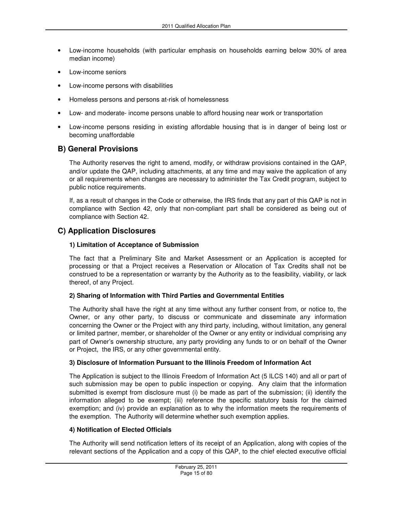- Low-income households (with particular emphasis on households earning below 30% of area median income)
- Low-income seniors
- Low-income persons with disabilities
- Homeless persons and persons at-risk of homelessness
- Low- and moderate- income persons unable to afford housing near work or transportation
- Low-income persons residing in existing affordable housing that is in danger of being lost or becoming unaffordable

#### **B) General Provisions**

The Authority reserves the right to amend, modify, or withdraw provisions contained in the QAP, and/or update the QAP, including attachments, at any time and may waive the application of any or all requirements when changes are necessary to administer the Tax Credit program, subject to public notice requirements.

If, as a result of changes in the Code or otherwise, the IRS finds that any part of this QAP is not in compliance with Section 42, only that non-compliant part shall be considered as being out of compliance with Section 42.

#### **C) Application Disclosures**

#### **1) Limitation of Acceptance of Submission**

The fact that a Preliminary Site and Market Assessment or an Application is accepted for processing or that a Project receives a Reservation or Allocation of Tax Credits shall not be construed to be a representation or warranty by the Authority as to the feasibility, viability, or lack thereof, of any Project.

#### **2) Sharing of Information with Third Parties and Governmental Entities**

The Authority shall have the right at any time without any further consent from, or notice to, the Owner, or any other party, to discuss or communicate and disseminate any information concerning the Owner or the Project with any third party, including, without limitation, any general or limited partner, member, or shareholder of the Owner or any entity or individual comprising any part of Owner's ownership structure, any party providing any funds to or on behalf of the Owner or Project, the IRS, or any other governmental entity.

#### **3) Disclosure of Information Pursuant to the Illinois Freedom of Information Act**

The Application is subject to the Illinois Freedom of Information Act (5 ILCS 140) and all or part of such submission may be open to public inspection or copying. Any claim that the information submitted is exempt from disclosure must (i) be made as part of the submission; (ii) identify the information alleged to be exempt; (iii) reference the specific statutory basis for the claimed exemption; and (iv) provide an explanation as to why the information meets the requirements of the exemption. The Authority will determine whether such exemption applies.

#### **4) Notification of Elected Officials**

The Authority will send notification letters of its receipt of an Application, along with copies of the relevant sections of the Application and a copy of this QAP, to the chief elected executive official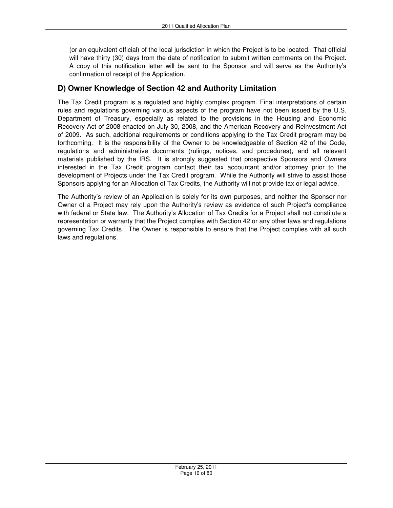(or an equivalent official) of the local jurisdiction in which the Project is to be located. That official will have thirty (30) days from the date of notification to submit written comments on the Project. A copy of this notification letter will be sent to the Sponsor and will serve as the Authority's confirmation of receipt of the Application.

## **D) Owner Knowledge of Section 42 and Authority Limitation**

The Tax Credit program is a regulated and highly complex program. Final interpretations of certain rules and regulations governing various aspects of the program have not been issued by the U.S. Department of Treasury, especially as related to the provisions in the Housing and Economic Recovery Act of 2008 enacted on July 30, 2008, and the American Recovery and Reinvestment Act of 2009. As such, additional requirements or conditions applying to the Tax Credit program may be forthcoming. It is the responsibility of the Owner to be knowledgeable of Section 42 of the Code, regulations and administrative documents (rulings, notices, and procedures), and all relevant materials published by the IRS. It is strongly suggested that prospective Sponsors and Owners interested in the Tax Credit program contact their tax accountant and/or attorney prior to the development of Projects under the Tax Credit program. While the Authority will strive to assist those Sponsors applying for an Allocation of Tax Credits, the Authority will not provide tax or legal advice.

The Authority's review of an Application is solely for its own purposes, and neither the Sponsor nor Owner of a Project may rely upon the Authority's review as evidence of such Project's compliance with federal or State law. The Authority's Allocation of Tax Credits for a Project shall not constitute a representation or warranty that the Project complies with Section 42 or any other laws and regulations governing Tax Credits. The Owner is responsible to ensure that the Project complies with all such laws and regulations.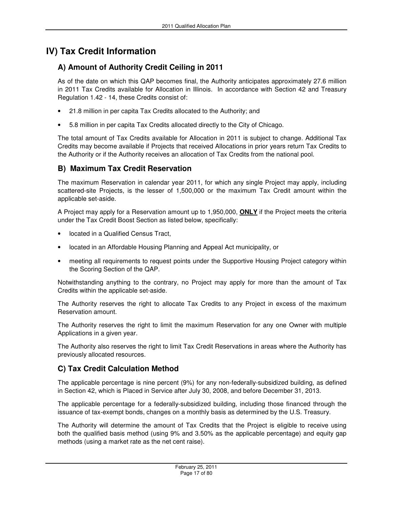## **IV) Tax Credit Information**

## **A) Amount of Authority Credit Ceiling in 2011**

As of the date on which this QAP becomes final, the Authority anticipates approximately 27.6 million in 2011 Tax Credits available for Allocation in Illinois. In accordance with Section 42 and Treasury Regulation 1.42 - 14, these Credits consist of:

- 21.8 million in per capita Tax Credits allocated to the Authority; and
- 5.8 million in per capita Tax Credits allocated directly to the City of Chicago.

The total amount of Tax Credits available for Allocation in 2011 is subject to change. Additional Tax Credits may become available if Projects that received Allocations in prior years return Tax Credits to the Authority or if the Authority receives an allocation of Tax Credits from the national pool.

## **B) Maximum Tax Credit Reservation**

The maximum Reservation in calendar year 2011, for which any single Project may apply, including scattered-site Projects, is the lesser of 1,500,000 or the maximum Tax Credit amount within the applicable set-aside.

A Project may apply for a Reservation amount up to 1,950,000, **ONLY** if the Project meets the criteria under the Tax Credit Boost Section as listed below, specifically:

- located in a Qualified Census Tract,
- located in an Affordable Housing Planning and Appeal Act municipality, or
- meeting all requirements to request points under the Supportive Housing Project category within the Scoring Section of the QAP.

Notwithstanding anything to the contrary, no Project may apply for more than the amount of Tax Credits within the applicable set-aside.

The Authority reserves the right to allocate Tax Credits to any Project in excess of the maximum Reservation amount.

The Authority reserves the right to limit the maximum Reservation for any one Owner with multiple Applications in a given year.

The Authority also reserves the right to limit Tax Credit Reservations in areas where the Authority has previously allocated resources.

## **C) Tax Credit Calculation Method**

The applicable percentage is nine percent (9%) for any non-federally-subsidized building, as defined in Section 42, which is Placed in Service after July 30, 2008, and before December 31, 2013.

The applicable percentage for a federally-subsidized building, including those financed through the issuance of tax-exempt bonds, changes on a monthly basis as determined by the U.S. Treasury.

The Authority will determine the amount of Tax Credits that the Project is eligible to receive using both the qualified basis method (using 9% and 3.50% as the applicable percentage) and equity gap methods (using a market rate as the net cent raise).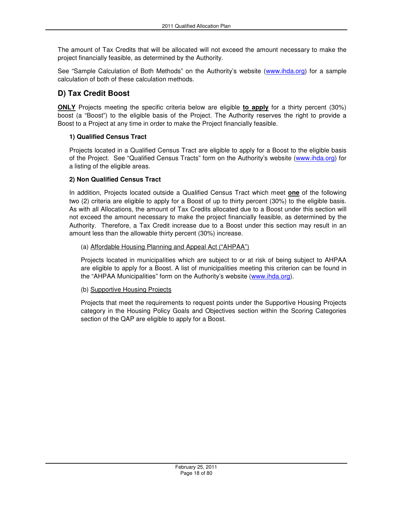The amount of Tax Credits that will be allocated will not exceed the amount necessary to make the project financially feasible, as determined by the Authority.

See "Sample Calculation of Both Methods" on the Authority's website (www.ihda.org) for a sample calculation of both of these calculation methods.

## **D) Tax Credit Boost**

**ONLY** Projects meeting the specific criteria below are eligible **to apply** for a thirty percent (30%) boost (a "Boost") to the eligible basis of the Project. The Authority reserves the right to provide a Boost to a Project at any time in order to make the Project financially feasible.

#### **1) Qualified Census Tract**

Projects located in a Qualified Census Tract are eligible to apply for a Boost to the eligible basis of the Project. See "Qualified Census Tracts" form on the Authority's website (www.ihda.org) for a listing of the eligible areas.

#### **2) Non Qualified Census Tract**

In addition, Projects located outside a Qualified Census Tract which meet **one** of the following two (2) criteria are eligible to apply for a Boost of up to thirty percent (30%) to the eligible basis. As with all Allocations, the amount of Tax Credits allocated due to a Boost under this section will not exceed the amount necessary to make the project financially feasible, as determined by the Authority. Therefore, a Tax Credit increase due to a Boost under this section may result in an amount less than the allowable thirty percent (30%) increase.

#### (a) Affordable Housing Planning and Appeal Act ("AHPAA")

Projects located in municipalities which are subject to or at risk of being subject to AHPAA are eligible to apply for a Boost. A list of municipalities meeting this criterion can be found in the "AHPAA Municipalities" form on the Authority's website (www.ihda.org).

#### (b) Supportive Housing Projects

Projects that meet the requirements to request points under the Supportive Housing Projects category in the Housing Policy Goals and Objectives section within the Scoring Categories section of the QAP are eligible to apply for a Boost.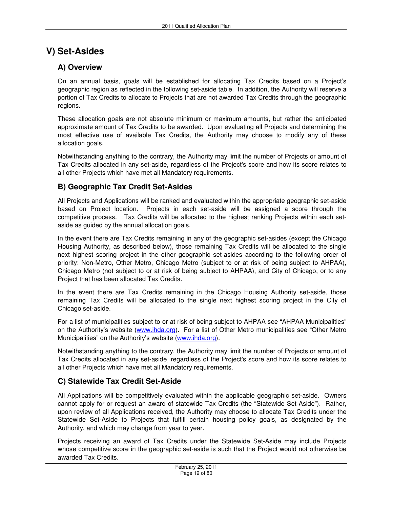## **V) Set-Asides**

## **A) Overview**

On an annual basis, goals will be established for allocating Tax Credits based on a Project's geographic region as reflected in the following set-aside table. In addition, the Authority will reserve a portion of Tax Credits to allocate to Projects that are not awarded Tax Credits through the geographic regions.

These allocation goals are not absolute minimum or maximum amounts, but rather the anticipated approximate amount of Tax Credits to be awarded. Upon evaluating all Projects and determining the most effective use of available Tax Credits, the Authority may choose to modify any of these allocation goals.

Notwithstanding anything to the contrary, the Authority may limit the number of Projects or amount of Tax Credits allocated in any set-aside, regardless of the Project's score and how its score relates to all other Projects which have met all Mandatory requirements.

## **B) Geographic Tax Credit Set-Asides**

All Projects and Applications will be ranked and evaluated within the appropriate geographic set-aside based on Project location. Projects in each set-aside will be assigned a score through the competitive process. Tax Credits will be allocated to the highest ranking Projects within each setaside as guided by the annual allocation goals.

In the event there are Tax Credits remaining in any of the geographic set-asides (except the Chicago Housing Authority, as described below), those remaining Tax Credits will be allocated to the single next highest scoring project in the other geographic set-asides according to the following order of priority: Non-Metro, Other Metro, Chicago Metro (subject to or at risk of being subject to AHPAA), Chicago Metro (not subject to or at risk of being subject to AHPAA), and City of Chicago, or to any Project that has been allocated Tax Credits.

In the event there are Tax Credits remaining in the Chicago Housing Authority set-aside, those remaining Tax Credits will be allocated to the single next highest scoring project in the City of Chicago set-aside.

For a list of municipalities subject to or at risk of being subject to AHPAA see "AHPAA Municipalities" on the Authority's website (www.ihda.org). For a list of Other Metro municipalities see "Other Metro Municipalities" on the Authority's website (www.ihda.org).

Notwithstanding anything to the contrary, the Authority may limit the number of Projects or amount of Tax Credits allocated in any set-aside, regardless of the Project's score and how its score relates to all other Projects which have met all Mandatory requirements.

## **C) Statewide Tax Credit Set-Aside**

All Applications will be competitively evaluated within the applicable geographic set-aside. Owners cannot apply for or request an award of statewide Tax Credits (the "Statewide Set-Aside"). Rather, upon review of all Applications received, the Authority may choose to allocate Tax Credits under the Statewide Set-Aside to Projects that fulfill certain housing policy goals, as designated by the Authority, and which may change from year to year.

Projects receiving an award of Tax Credits under the Statewide Set-Aside may include Projects whose competitive score in the geographic set-aside is such that the Project would not otherwise be awarded Tax Credits.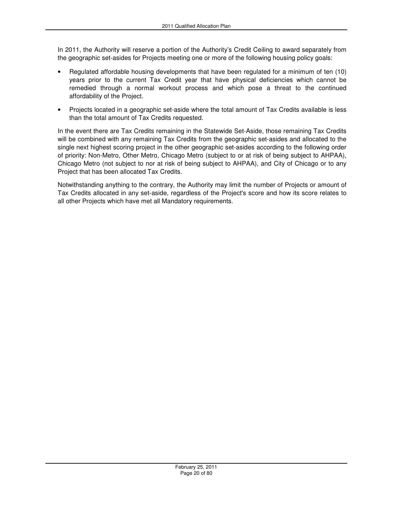In 2011, the Authority will reserve a portion of the Authority's Credit Ceiling to award separately from the geographic set-asides for Projects meeting one or more of the following housing policy goals:

- Regulated affordable housing developments that have been regulated for a minimum of ten (10) years prior to the current Tax Credit year that have physical deficiencies which cannot be remedied through a normal workout process and which pose a threat to the continued affordability of the Project.
- Projects located in a geographic set-aside where the total amount of Tax Credits available is less than the total amount of Tax Credits requested.

In the event there are Tax Credits remaining in the Statewide Set-Aside, those remaining Tax Credits will be combined with any remaining Tax Credits from the geographic set-asides and allocated to the single next highest scoring project in the other geographic set-asides according to the following order of priority: Non-Metro, Other Metro, Chicago Metro (subject to or at risk of being subject to AHPAA), Chicago Metro (not subject to nor at risk of being subject to AHPAA), and City of Chicago or to any Project that has been allocated Tax Credits.

Notwithstanding anything to the contrary, the Authority may limit the number of Projects or amount of Tax Credits allocated in any set-aside, regardless of the Project's score and how its score relates to all other Projects which have met all Mandatory requirements.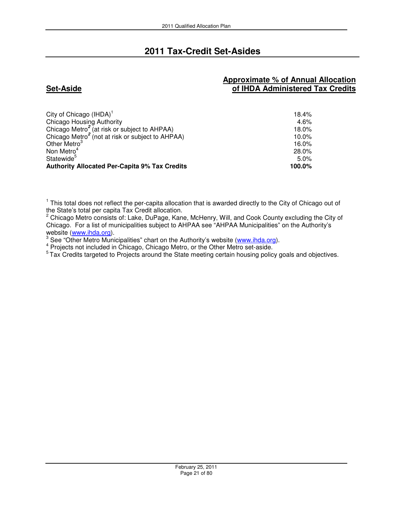## **2011 Tax-Credit Set-Asides**

### **Set-Aside**

### **Approximate % of Annual Allocation of IHDA Administered Tax Credits**

| City of Chicago $(IHDA)^1$                                   | 18.4%    |
|--------------------------------------------------------------|----------|
| Chicago Housing Authority                                    | 4.6%     |
| Chicago Metro <sup>2</sup> (at risk or subject to AHPAA)     | 18.0%    |
| Chicago Metro <sup>2</sup> (not at risk or subject to AHPAA) | $10.0\%$ |
| Other Metro <sup>3</sup>                                     | 16.0%    |
| Non Metro <sup>4</sup>                                       | 28.0%    |
| Statewide <sup>5</sup>                                       | 5.0%     |
| <b>Authority Allocated Per-Capita 9% Tax Credits</b>         | 100.0%   |

<sup>1</sup> This total does not reflect the per-capita allocation that is awarded directly to the City of Chicago out of the State's total per capita Tax Credit allocation.

 $2$  Chicago Metro consists of: Lake, DuPage, Kane, McHenry, Will, and Cook County excluding the City of Chicago. For a list of municipalities subject to AHPAA see "AHPAA Municipalities" on the Authority's website (www.ihda.org).

<sup>3</sup> See "Other Metro Municipalities" chart on the Authority's website (www.ihda.org).

<sup>4</sup> Projects not included in Chicago, Chicago Metro, or the Other Metro set-aside.<br><sup>5</sup> Tax Credits targeted to Projects around the State meeting certain housing policy goals and objectives.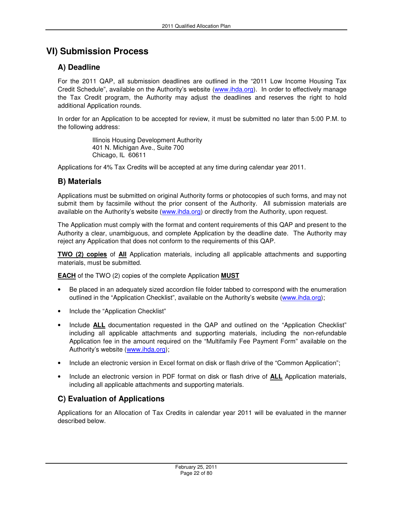## **VI) Submission Process**

## **A) Deadline**

For the 2011 QAP, all submission deadlines are outlined in the "2011 Low Income Housing Tax Credit Schedule", available on the Authority's website (www.ihda.org). In order to effectively manage the Tax Credit program, the Authority may adjust the deadlines and reserves the right to hold additional Application rounds.

In order for an Application to be accepted for review, it must be submitted no later than 5:00 P.M. to the following address:

> Illinois Housing Development Authority 401 N. Michigan Ave., Suite 700 Chicago, IL 60611

Applications for 4% Tax Credits will be accepted at any time during calendar year 2011.

## **B) Materials**

Applications must be submitted on original Authority forms or photocopies of such forms, and may not submit them by facsimile without the prior consent of the Authority. All submission materials are available on the Authority's website (www.ihda.org) or directly from the Authority, upon request.

The Application must comply with the format and content requirements of this QAP and present to the Authority a clear, unambiguous, and complete Application by the deadline date. The Authority may reject any Application that does not conform to the requirements of this QAP.

**TWO (2) copies** of **All** Application materials, including all applicable attachments and supporting materials, must be submitted.

**EACH** of the TWO (2) copies of the complete Application **MUST**

- Be placed in an adequately sized accordion file folder tabbed to correspond with the enumeration outlined in the "Application Checklist", available on the Authority's website (www.ihda.org);
- Include the "Application Checklist"
- Include **ALL** documentation requested in the QAP and outlined on the "Application Checklist" including all applicable attachments and supporting materials, including the non-refundable Application fee in the amount required on the "Multifamily Fee Payment Form" available on the Authority's website (www.ihda.org);
- Include an electronic version in Excel format on disk or flash drive of the "Common Application";
- Include an electronic version in PDF format on disk or flash drive of **ALL** Application materials, including all applicable attachments and supporting materials.

## **C) Evaluation of Applications**

Applications for an Allocation of Tax Credits in calendar year 2011 will be evaluated in the manner described below.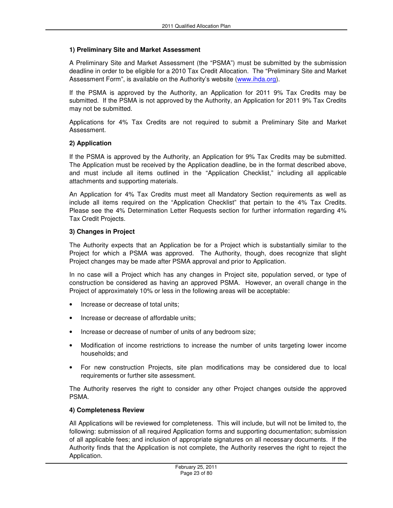#### **1) Preliminary Site and Market Assessment**

A Preliminary Site and Market Assessment (the "PSMA") must be submitted by the submission deadline in order to be eligible for a 2010 Tax Credit Allocation. The "Preliminary Site and Market Assessment Form", is available on the Authority's website (www.ihda.org).

If the PSMA is approved by the Authority, an Application for 2011 9% Tax Credits may be submitted. If the PSMA is not approved by the Authority, an Application for 2011 9% Tax Credits may not be submitted.

Applications for 4% Tax Credits are not required to submit a Preliminary Site and Market Assessment.

#### **2) Application**

If the PSMA is approved by the Authority, an Application for 9% Tax Credits may be submitted. The Application must be received by the Application deadline, be in the format described above, and must include all items outlined in the "Application Checklist," including all applicable attachments and supporting materials.

An Application for 4% Tax Credits must meet all Mandatory Section requirements as well as include all items required on the "Application Checklist" that pertain to the 4% Tax Credits. Please see the 4% Determination Letter Requests section for further information regarding 4% Tax Credit Projects.

#### **3) Changes in Project**

The Authority expects that an Application be for a Project which is substantially similar to the Project for which a PSMA was approved. The Authority, though, does recognize that slight Project changes may be made after PSMA approval and prior to Application.

In no case will a Project which has any changes in Project site, population served, or type of construction be considered as having an approved PSMA. However, an overall change in the Project of approximately 10% or less in the following areas will be acceptable:

- Increase or decrease of total units;
- Increase or decrease of affordable units;
- Increase or decrease of number of units of any bedroom size;
- Modification of income restrictions to increase the number of units targeting lower income households; and
- For new construction Projects, site plan modifications may be considered due to local requirements or further site assessment.

The Authority reserves the right to consider any other Project changes outside the approved PSMA.

#### **4) Completeness Review**

All Applications will be reviewed for completeness. This will include, but will not be limited to, the following: submission of all required Application forms and supporting documentation; submission of all applicable fees; and inclusion of appropriate signatures on all necessary documents. If the Authority finds that the Application is not complete, the Authority reserves the right to reject the Application.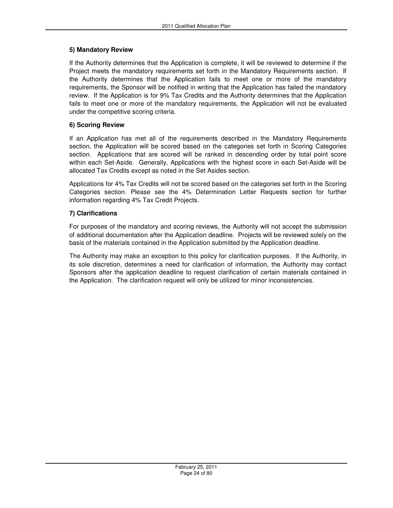#### **5) Mandatory Review**

If the Authority determines that the Application is complete, it will be reviewed to determine if the Project meets the mandatory requirements set forth in the Mandatory Requirements section. If the Authority determines that the Application fails to meet one or more of the mandatory requirements, the Sponsor will be notified in writing that the Application has failed the mandatory review. If the Application is for 9% Tax Credits and the Authority determines that the Application fails to meet one or more of the mandatory requirements, the Application will not be evaluated under the competitive scoring criteria.

#### **6) Scoring Review**

If an Application has met all of the requirements described in the Mandatory Requirements section, the Application will be scored based on the categories set forth in Scoring Categories section. Applications that are scored will be ranked in descending order by total point score within each Set-Aside. Generally, Applications with the highest score in each Set-Aside will be allocated Tax Credits except as noted in the Set Asides section.

Applications for 4% Tax Credits will not be scored based on the categories set forth in the Scoring Categories section. Please see the 4% Determination Letter Requests section for further information regarding 4% Tax Credit Projects.

#### **7) Clarifications**

For purposes of the mandatory and scoring reviews, the Authority will not accept the submission of additional documentation after the Application deadline. Projects will be reviewed solely on the basis of the materials contained in the Application submitted by the Application deadline.

The Authority may make an exception to this policy for clarification purposes. If the Authority, in its sole discretion, determines a need for clarification of information, the Authority may contact Sponsors after the application deadline to request clarification of certain materials contained in the Application. The clarification request will only be utilized for minor inconsistencies.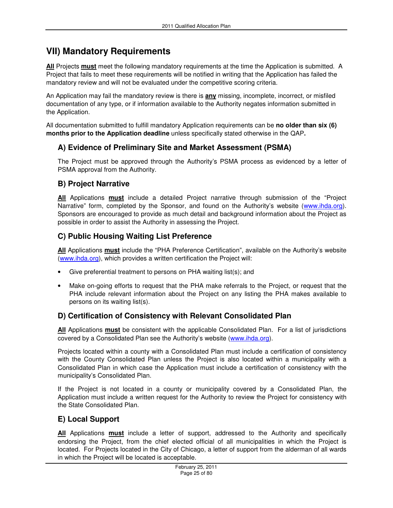## **VII) Mandatory Requirements**

**All** Projects **must** meet the following mandatory requirements at the time the Application is submitted. A Project that fails to meet these requirements will be notified in writing that the Application has failed the mandatory review and will not be evaluated under the competitive scoring criteria.

An Application may fail the mandatory review is there is **any** missing, incomplete, incorrect, or misfiled documentation of any type, or if information available to the Authority negates information submitted in the Application.

All documentation submitted to fulfill mandatory Application requirements can be **no older than six (6) months prior to the Application deadline** unless specifically stated otherwise in the QAP**.** 

## **A) Evidence of Preliminary Site and Market Assessment (PSMA)**

The Project must be approved through the Authority's PSMA process as evidenced by a letter of PSMA approval from the Authority.

## **B) Project Narrative**

**All** Applications **must** include a detailed Project narrative through submission of the "Project Narrative" form, completed by the Sponsor, and found on the Authority's website (www.ihda.org). Sponsors are encouraged to provide as much detail and background information about the Project as possible in order to assist the Authority in assessing the Project.

## **C) Public Housing Waiting List Preference**

**All** Applications **must** include the "PHA Preference Certification", available on the Authority's website (www.ihda.org), which provides a written certification the Project will:

- Give preferential treatment to persons on PHA waiting list(s); and
- Make on-going efforts to request that the PHA make referrals to the Project, or request that the PHA include relevant information about the Project on any listing the PHA makes available to persons on its waiting list(s).

## **D) Certification of Consistency with Relevant Consolidated Plan**

**All** Applications **must** be consistent with the applicable Consolidated Plan. For a list of jurisdictions covered by a Consolidated Plan see the Authority's website (www.ihda.org).

Projects located within a county with a Consolidated Plan must include a certification of consistency with the County Consolidated Plan unless the Project is also located within a municipality with a Consolidated Plan in which case the Application must include a certification of consistency with the municipality's Consolidated Plan.

If the Project is not located in a county or municipality covered by a Consolidated Plan, the Application must include a written request for the Authority to review the Project for consistency with the State Consolidated Plan.

## **E) Local Support**

**All** Applications **must** include a letter of support, addressed to the Authority and specifically endorsing the Project, from the chief elected official of all municipalities in which the Project is located. For Projects located in the City of Chicago, a letter of support from the alderman of all wards in which the Project will be located is acceptable.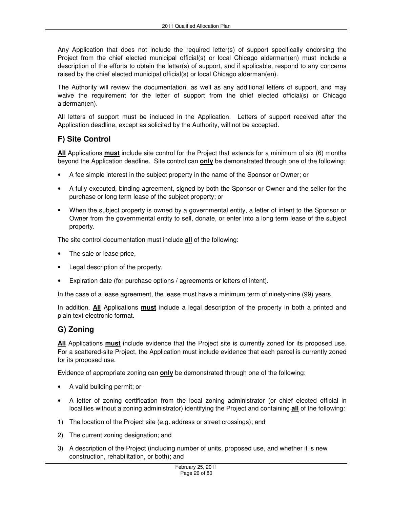Any Application that does not include the required letter(s) of support specifically endorsing the Project from the chief elected municipal official(s) or local Chicago alderman(en) must include a description of the efforts to obtain the letter(s) of support, and if applicable, respond to any concerns raised by the chief elected municipal official(s) or local Chicago alderman(en).

The Authority will review the documentation, as well as any additional letters of support, and may waive the requirement for the letter of support from the chief elected official(s) or Chicago alderman(en).

All letters of support must be included in the Application. Letters of support received after the Application deadline, except as solicited by the Authority, will not be accepted.

## **F) Site Control**

**All** Applications **must** include site control for the Project that extends for a minimum of six (6) months beyond the Application deadline. Site control can **only** be demonstrated through one of the following:

- A fee simple interest in the subject property in the name of the Sponsor or Owner; or
- A fully executed, binding agreement, signed by both the Sponsor or Owner and the seller for the purchase or long term lease of the subject property; or
- When the subject property is owned by a governmental entity, a letter of intent to the Sponsor or Owner from the governmental entity to sell, donate, or enter into a long term lease of the subject property.

The site control documentation must include **all** of the following:

- The sale or lease price,
- Legal description of the property,
- Expiration date (for purchase options / agreements or letters of intent).

In the case of a lease agreement, the lease must have a minimum term of ninety-nine (99) years.

In addition, **All** Applications **must** include a legal description of the property in both a printed and plain text electronic format.

## **G) Zoning**

**All** Applications **must** include evidence that the Project site is currently zoned for its proposed use. For a scattered-site Project, the Application must include evidence that each parcel is currently zoned for its proposed use.

Evidence of appropriate zoning can **only** be demonstrated through one of the following:

- A valid building permit; or
- A letter of zoning certification from the local zoning administrator (or chief elected official in localities without a zoning administrator) identifying the Project and containing **all** of the following:
- 1) The location of the Project site (e.g. address or street crossings); and
- 2) The current zoning designation; and
- 3) A description of the Project (including number of units, proposed use, and whether it is new construction, rehabilitation, or both); and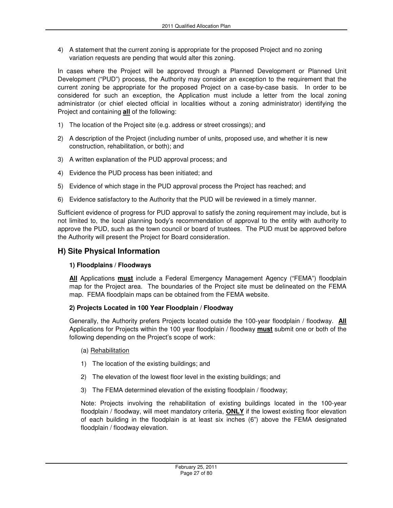4) A statement that the current zoning is appropriate for the proposed Project and no zoning variation requests are pending that would alter this zoning.

In cases where the Project will be approved through a Planned Development or Planned Unit Development ("PUD") process, the Authority may consider an exception to the requirement that the current zoning be appropriate for the proposed Project on a case-by-case basis. In order to be considered for such an exception, the Application must include a letter from the local zoning administrator (or chief elected official in localities without a zoning administrator) identifying the Project and containing **all** of the following:

- 1) The location of the Project site (e.g. address or street crossings); and
- 2) A description of the Project (including number of units, proposed use, and whether it is new construction, rehabilitation, or both); and
- 3) A written explanation of the PUD approval process; and
- 4) Evidence the PUD process has been initiated; and
- 5) Evidence of which stage in the PUD approval process the Project has reached; and
- 6) Evidence satisfactory to the Authority that the PUD will be reviewed in a timely manner.

Sufficient evidence of progress for PUD approval to satisfy the zoning requirement may include, but is not limited to, the local planning body's recommendation of approval to the entity with authority to approve the PUD, such as the town council or board of trustees. The PUD must be approved before the Authority will present the Project for Board consideration.

### **H) Site Physical Information**

#### **1) Floodplains / Floodways**

**All** Applications **must** include a Federal Emergency Management Agency ("FEMA") floodplain map for the Project area. The boundaries of the Project site must be delineated on the FEMA map. FEMA floodplain maps can be obtained from the FEMA website.

#### **2) Projects Located in 100 Year Floodplain / Floodway**

Generally, the Authority prefers Projects located outside the 100-year floodplain / floodway. **All** Applications for Projects within the 100 year floodplain / floodway **must** submit one or both of the following depending on the Project's scope of work:

- (a) Rehabilitation
- 1) The location of the existing buildings; and
- 2) The elevation of the lowest floor level in the existing buildings; and
- 3) The FEMA determined elevation of the existing floodplain / floodway;

Note: Projects involving the rehabilitation of existing buildings located in the 100-year floodplain / floodway, will meet mandatory criteria, **ONLY** if the lowest existing floor elevation of each building in the floodplain is at least six inches (6") above the FEMA designated floodplain / floodway elevation.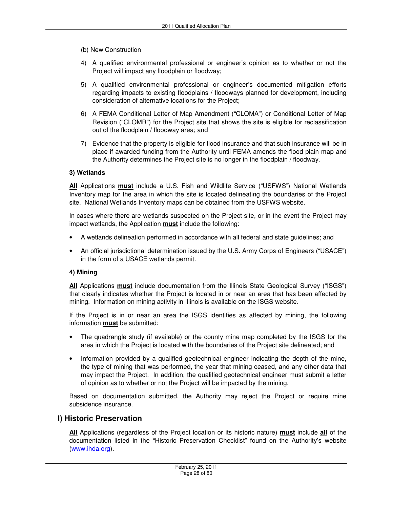#### (b) New Construction

- 4) A qualified environmental professional or engineer's opinion as to whether or not the Project will impact any floodplain or floodway;
- 5) A qualified environmental professional or engineer's documented mitigation efforts regarding impacts to existing floodplains / floodways planned for development, including consideration of alternative locations for the Project;
- 6) A FEMA Conditional Letter of Map Amendment ("CLOMA") or Conditional Letter of Map Revision ("CLOMR") for the Project site that shows the site is eligible for reclassification out of the floodplain / floodway area; and
- 7) Evidence that the property is eligible for flood insurance and that such insurance will be in place if awarded funding from the Authority until FEMA amends the flood plain map and the Authority determines the Project site is no longer in the floodplain / floodway.

#### **3) Wetlands**

**All** Applications **must** include a U.S. Fish and Wildlife Service ("USFWS") National Wetlands Inventory map for the area in which the site is located delineating the boundaries of the Project site. National Wetlands Inventory maps can be obtained from the USFWS website.

In cases where there are wetlands suspected on the Project site, or in the event the Project may impact wetlands, the Application **must** include the following:

- A wetlands delineation performed in accordance with all federal and state guidelines; and
- An official jurisdictional determination issued by the U.S. Army Corps of Engineers ("USACE") in the form of a USACE wetlands permit.

#### **4) Mining**

**All** Applications **must** include documentation from the Illinois State Geological Survey ("ISGS") that clearly indicates whether the Project is located in or near an area that has been affected by mining. Information on mining activity in Illinois is available on the ISGS website.

If the Project is in or near an area the ISGS identifies as affected by mining, the following information **must** be submitted:

- The quadrangle study (if available) or the county mine map completed by the ISGS for the area in which the Project is located with the boundaries of the Project site delineated; and
- Information provided by a qualified geotechnical engineer indicating the depth of the mine, the type of mining that was performed, the year that mining ceased, and any other data that may impact the Project. In addition, the qualified geotechnical engineer must submit a letter of opinion as to whether or not the Project will be impacted by the mining.

Based on documentation submitted, the Authority may reject the Project or require mine subsidence insurance.

#### **I) Historic Preservation**

**All** Applications (regardless of the Project location or its historic nature) **must** include **all** of the documentation listed in the "Historic Preservation Checklist" found on the Authority's website (www.ihda.org).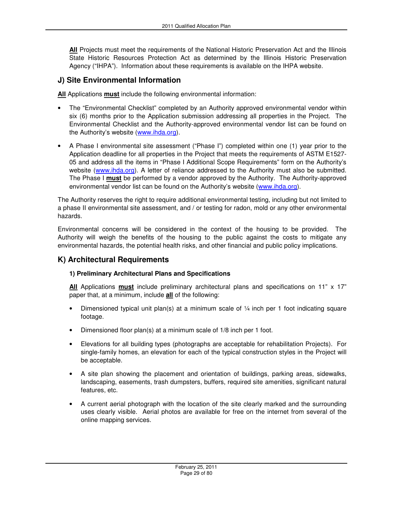**All** Projects must meet the requirements of the National Historic Preservation Act and the Illinois State Historic Resources Protection Act as determined by the Illinois Historic Preservation Agency ("IHPA"). Information about these requirements is available on the IHPA website.

### **J) Site Environmental Information**

**All** Applications **must** include the following environmental information:

- The "Environmental Checklist" completed by an Authority approved environmental vendor within six (6) months prior to the Application submission addressing all properties in the Project. The Environmental Checklist and the Authority-approved environmental vendor list can be found on the Authority's website (www.ihda.org).
- A Phase I environmental site assessment ("Phase I") completed within one (1) year prior to the Application deadline for all properties in the Project that meets the requirements of ASTM E1527- 05 and address all the items in "Phase I Additional Scope Requirements" form on the Authority's website (www.ihda.org). A letter of reliance addressed to the Authority must also be submitted. The Phase I **must** be performed by a vendor approved by the Authority. The Authority-approved environmental vendor list can be found on the Authority's website (www.ihda.org).

The Authority reserves the right to require additional environmental testing, including but not limited to a phase II environmental site assessment, and / or testing for radon, mold or any other environmental hazards.

Environmental concerns will be considered in the context of the housing to be provided. The Authority will weigh the benefits of the housing to the public against the costs to mitigate any environmental hazards, the potential health risks, and other financial and public policy implications.

#### **K) Architectural Requirements**

#### **1) Preliminary Architectural Plans and Specifications**

**All** Applications **must** include preliminary architectural plans and specifications on 11" x 17" paper that, at a minimum, include **all** of the following:

- Dimensioned typical unit plan(s) at a minimum scale of  $\frac{1}{4}$  inch per 1 foot indicating square footage.
- Dimensioned floor plan(s) at a minimum scale of 1/8 inch per 1 foot.
- Elevations for all building types (photographs are acceptable for rehabilitation Projects). For single-family homes, an elevation for each of the typical construction styles in the Project will be acceptable.
- A site plan showing the placement and orientation of buildings, parking areas, sidewalks, landscaping, easements, trash dumpsters, buffers, required site amenities, significant natural features, etc.
- A current aerial photograph with the location of the site clearly marked and the surrounding uses clearly visible. Aerial photos are available for free on the internet from several of the online mapping services.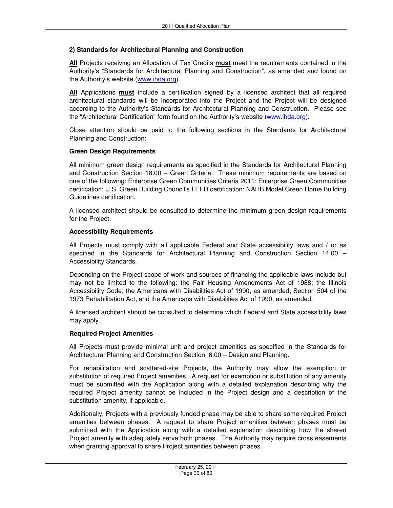#### **2) Standards for Architectural Planning and Construction**

**All** Projects receiving an Allocation of Tax Credits **must** meet the requirements contained in the Authority's "Standards for Architectural Planning and Construction", as amended and found on the Authority's website (www.ihda.org).

**All** Applications **must** include a certification signed by a licensed architect that all required architectural standards will be incorporated into the Project and the Project will be designed according to the Authority's Standards for Architectural Planning and Construction. Please see the "Architectural Certification" form found on the Authority's website (www.ihda.org).

Close attention should be paid to the following sections in the Standards for Architectural Planning and Construction:

#### **Green Design Requirements**

All minimum green design requirements as specified in the Standards for Architectural Planning and Construction Section 18.00 – Green Criteria. These minimum requirements are based on one of the following: Enterprise Green Communities Criteria 2011; Enterprise Green Communities certification; U.S. Green Building Council's LEED certification; NAHB Model Green Home Building Guidelines certification.

A licensed architect should be consulted to determine the minimum green design requirements for the Project.

#### **Accessibility Requirements**

All Projects must comply with all applicable Federal and State accessibility laws and / or as specified in the Standards for Architectural Planning and Construction Section 14.00 – Accessibility Standards.

Depending on the Project scope of work and sources of financing the applicable laws include but may not be limited to the following: the Fair Housing Amendments Act of 1988; the Illinois Accessibility Code; the Americans with Disabilities Act of 1990, as amended; Section 504 of the 1973 Rehabilitation Act; and the Americans with Disabilities Act of 1990, as amended.

A licensed architect should be consulted to determine which Federal and State accessibility laws may apply.

#### **Required Project Amenities**

All Projects must provide minimal unit and project amenities as specified in the Standards for Architectural Planning and Construction Section 6.00 – Design and Planning.

For rehabilitation and scattered-site Projects, the Authority may allow the exemption or substitution of required Project amenities. A request for exemption or substitution of any amenity must be submitted with the Application along with a detailed explanation describing why the required Project amenity cannot be included in the Project design and a description of the substitution amenity, if applicable.

Additionally, Projects with a previously funded phase may be able to share some required Project amenities between phases. A request to share Project amenities between phases must be submitted with the Application along with a detailed explanation describing how the shared Project amenity with adequately serve both phases. The Authority may require cross easements when granting approval to share Project amenities between phases.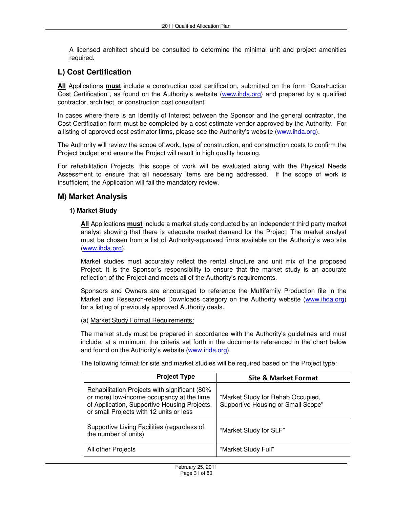A licensed architect should be consulted to determine the minimal unit and project amenities required.

## **L) Cost Certification**

**All** Applications **must** include a construction cost certification, submitted on the form "Construction Cost Certification", as found on the Authority's website (www.ihda.org) and prepared by a qualified contractor, architect, or construction cost consultant.

In cases where there is an Identity of Interest between the Sponsor and the general contractor, the Cost Certification form must be completed by a cost estimate vendor approved by the Authority. For a listing of approved cost estimator firms, please see the Authority's website (www.ihda.org).

The Authority will review the scope of work, type of construction, and construction costs to confirm the Project budget and ensure the Project will result in high quality housing.

For rehabilitation Projects, this scope of work will be evaluated along with the Physical Needs Assessment to ensure that all necessary items are being addressed. If the scope of work is insufficient, the Application will fail the mandatory review.

#### **M) Market Analysis**

#### **1) Market Study**

**All** Applications **must** include a market study conducted by an independent third party market analyst showing that there is adequate market demand for the Project. The market analyst must be chosen from a list of Authority-approved firms available on the Authority's web site (www.ihda.org).

Market studies must accurately reflect the rental structure and unit mix of the proposed Project. It is the Sponsor's responsibility to ensure that the market study is an accurate reflection of the Project and meets all of the Authority's requirements.

Sponsors and Owners are encouraged to reference the Multifamily Production file in the Market and Research-related Downloads category on the Authority website (www.ihda.org) for a listing of previously approved Authority deals.

#### (a) Market Study Format Requirements:

The market study must be prepared in accordance with the Authority's guidelines and must include, at a minimum, the criteria set forth in the documents referenced in the chart below and found on the Authority's website (www.ihda.org).

The following format for site and market studies will be required based on the Project type:

| <b>Project Type</b>                                                                                                                                                                   | <b>Site &amp; Market Format</b>                                         |
|---------------------------------------------------------------------------------------------------------------------------------------------------------------------------------------|-------------------------------------------------------------------------|
| Rehabilitation Projects with significant (80%<br>or more) low-income occupancy at the time<br>of Application, Supportive Housing Projects,<br>or small Projects with 12 units or less | "Market Study for Rehab Occupied,<br>Supportive Housing or Small Scope" |
| Supportive Living Facilities (regardless of<br>the number of units)                                                                                                                   | "Market Study for SLF"                                                  |
| All other Projects                                                                                                                                                                    | "Market Study Full"                                                     |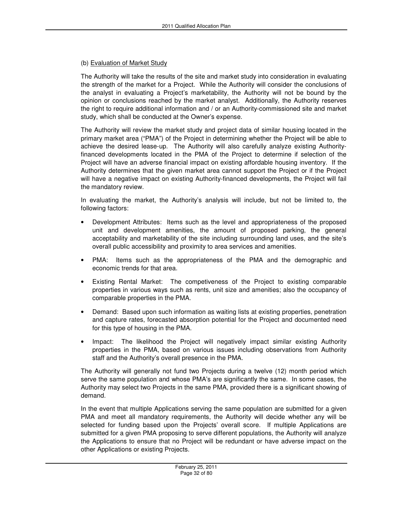#### (b) Evaluation of Market Study

The Authority will take the results of the site and market study into consideration in evaluating the strength of the market for a Project. While the Authority will consider the conclusions of the analyst in evaluating a Project's marketability, the Authority will not be bound by the opinion or conclusions reached by the market analyst. Additionally, the Authority reserves the right to require additional information and / or an Authority-commissioned site and market study, which shall be conducted at the Owner's expense.

The Authority will review the market study and project data of similar housing located in the primary market area ("PMA") of the Project in determining whether the Project will be able to achieve the desired lease-up. The Authority will also carefully analyze existing Authorityfinanced developments located in the PMA of the Project to determine if selection of the Project will have an adverse financial impact on existing affordable housing inventory. If the Authority determines that the given market area cannot support the Project or if the Project will have a negative impact on existing Authority-financed developments, the Project will fail the mandatory review.

In evaluating the market, the Authority's analysis will include, but not be limited to, the following factors:

- Development Attributes: Items such as the level and appropriateness of the proposed unit and development amenities, the amount of proposed parking, the general acceptability and marketability of the site including surrounding land uses, and the site's overall public accessibility and proximity to area services and amenities.
- PMA: Items such as the appropriateness of the PMA and the demographic and economic trends for that area.
- Existing Rental Market: The competiveness of the Project to existing comparable properties in various ways such as rents, unit size and amenities; also the occupancy of comparable properties in the PMA.
- Demand: Based upon such information as waiting lists at existing properties, penetration and capture rates, forecasted absorption potential for the Project and documented need for this type of housing in the PMA.
- Impact: The likelihood the Project will negatively impact similar existing Authority properties in the PMA, based on various issues including observations from Authority staff and the Authority's overall presence in the PMA.

The Authority will generally not fund two Projects during a twelve (12) month period which serve the same population and whose PMA's are significantly the same. In some cases, the Authority may select two Projects in the same PMA, provided there is a significant showing of demand.

In the event that multiple Applications serving the same population are submitted for a given PMA and meet all mandatory requirements, the Authority will decide whether any will be selected for funding based upon the Projects' overall score. If multiple Applications are submitted for a given PMA proposing to serve different populations, the Authority will analyze the Applications to ensure that no Project will be redundant or have adverse impact on the other Applications or existing Projects.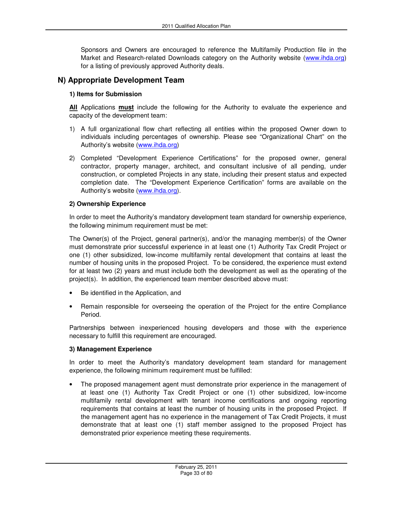Sponsors and Owners are encouraged to reference the Multifamily Production file in the Market and Research-related Downloads category on the Authority website (www.ihda.org) for a listing of previously approved Authority deals.

### **N) Appropriate Development Team**

#### **1) Items for Submission**

**All** Applications **must** include the following for the Authority to evaluate the experience and capacity of the development team:

- 1) A full organizational flow chart reflecting all entities within the proposed Owner down to individuals including percentages of ownership. Please see "Organizational Chart" on the Authority's website (www.ihda.org)
- 2) Completed "Development Experience Certifications" for the proposed owner, general contractor, property manager, architect, and consultant inclusive of all pending, under construction, or completed Projects in any state, including their present status and expected completion date. The "Development Experience Certification" forms are available on the Authority's website (www.ihda.org).

#### **2) Ownership Experience**

In order to meet the Authority's mandatory development team standard for ownership experience, the following minimum requirement must be met:

The Owner(s) of the Project, general partner(s), and/or the managing member(s) of the Owner must demonstrate prior successful experience in at least one (1) Authority Tax Credit Project or one (1) other subsidized, low-income multifamily rental development that contains at least the number of housing units in the proposed Project. To be considered, the experience must extend for at least two (2) years and must include both the development as well as the operating of the project(s). In addition, the experienced team member described above must:

- Be identified in the Application, and
- Remain responsible for overseeing the operation of the Project for the entire Compliance Period.

Partnerships between inexperienced housing developers and those with the experience necessary to fulfill this requirement are encouraged.

#### **3) Management Experience**

In order to meet the Authority's mandatory development team standard for management experience, the following minimum requirement must be fulfilled:

The proposed management agent must demonstrate prior experience in the management of at least one (1) Authority Tax Credit Project or one (1) other subsidized, low-income multifamily rental development with tenant income certifications and ongoing reporting requirements that contains at least the number of housing units in the proposed Project. If the management agent has no experience in the management of Tax Credit Projects, it must demonstrate that at least one (1) staff member assigned to the proposed Project has demonstrated prior experience meeting these requirements.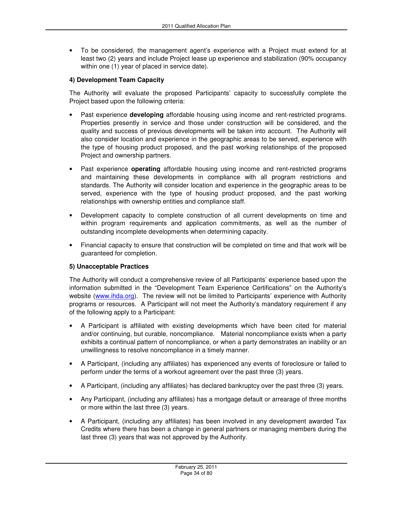• To be considered, the management agent's experience with a Project must extend for at least two (2) years and include Project lease up experience and stabilization (90% occupancy within one (1) year of placed in service date).

#### **4) Development Team Capacity**

The Authority will evaluate the proposed Participants' capacity to successfully complete the Project based upon the following criteria:

- Past experience **developing** affordable housing using income and rent-restricted programs. Properties presently in service and those under construction will be considered, and the quality and success of previous developments will be taken into account. The Authority will also consider location and experience in the geographic areas to be served, experience with the type of housing product proposed, and the past working relationships of the proposed Project and ownership partners.
- Past experience **operating** affordable housing using income and rent-restricted programs and maintaining these developments in compliance with all program restrictions and standards. The Authority will consider location and experience in the geographic areas to be served, experience with the type of housing product proposed, and the past working relationships with ownership entities and compliance staff.
- Development capacity to complete construction of all current developments on time and within program requirements and application commitments, as well as the number of outstanding incomplete developments when determining capacity.
- Financial capacity to ensure that construction will be completed on time and that work will be guaranteed for completion.

#### **5) Unacceptable Practices**

The Authority will conduct a comprehensive review of all Participants' experience based upon the information submitted in the "Development Team Experience Certifications" on the Authority's website (www.ihda.org). The review will not be limited to Participants' experience with Authority programs or resources. A Participant will not meet the Authority's mandatory requirement if any of the following apply to a Participant:

- A Participant is affiliated with existing developments which have been cited for material and/or continuing, but curable, noncompliance. Material noncompliance exists when a party exhibits a continual pattern of noncompliance, or when a party demonstrates an inability or an unwillingness to resolve noncompliance in a timely manner.
- A Participant, (including any affiliates) has experienced any events of foreclosure or failed to perform under the terms of a workout agreement over the past three (3) years.
- A Participant, (including any affiliates) has declared bankruptcy over the past three (3) years.
- Any Participant, (including any affiliates) has a mortgage default or arrearage of three months or more within the last three (3) years.
- A Participant, (including any affiliates) has been involved in any development awarded Tax Credits where there has been a change in general partners or managing members during the last three (3) years that was not approved by the Authority.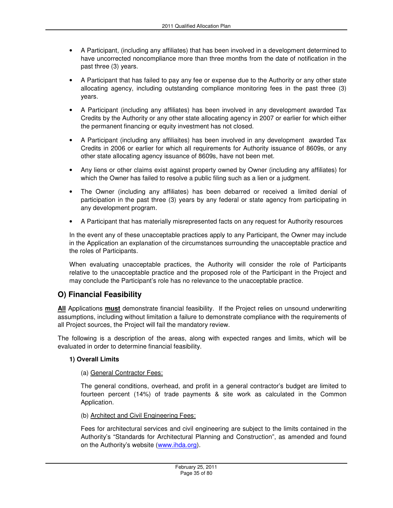- A Participant, (including any affiliates) that has been involved in a development determined to have uncorrected noncompliance more than three months from the date of notification in the past three (3) years.
- A Participant that has failed to pay any fee or expense due to the Authority or any other state allocating agency, including outstanding compliance monitoring fees in the past three (3) years.
- A Participant (including any affiliates) has been involved in any development awarded Tax Credits by the Authority or any other state allocating agency in 2007 or earlier for which either the permanent financing or equity investment has not closed.
- A Participant (including any affiliaites) has been involved in any development awarded Tax Credits in 2006 or earlier for which all requirements for Authority issuance of 8609s, or any other state allocating agency issuance of 8609s, have not been met.
- Any liens or other claims exist against property owned by Owner (including any affiliates) for which the Owner has failed to resolve a public filing such as a lien or a judgment.
- The Owner (including any affiliates) has been debarred or received a limited denial of participation in the past three (3) years by any federal or state agency from participating in any development program.
- A Participant that has materially misrepresented facts on any request for Authority resources

In the event any of these unacceptable practices apply to any Participant, the Owner may include in the Application an explanation of the circumstances surrounding the unacceptable practice and the roles of Participants.

When evaluating unacceptable practices, the Authority will consider the role of Participants relative to the unacceptable practice and the proposed role of the Participant in the Project and may conclude the Participant's role has no relevance to the unacceptable practice.

## **O) Financial Feasibility**

**All** Applications **must** demonstrate financial feasibility. If the Project relies on unsound underwriting assumptions, including without limitation a failure to demonstrate compliance with the requirements of all Project sources, the Project will fail the mandatory review.

The following is a description of the areas, along with expected ranges and limits, which will be evaluated in order to determine financial feasibility.

#### **1) Overall Limits**

#### (a) General Contractor Fees:

The general conditions, overhead, and profit in a general contractor's budget are limited to fourteen percent (14%) of trade payments & site work as calculated in the Common Application.

(b) Architect and Civil Engineering Fees:

Fees for architectural services and civil engineering are subject to the limits contained in the Authority's "Standards for Architectural Planning and Construction", as amended and found on the Authority's website (www.ihda.org).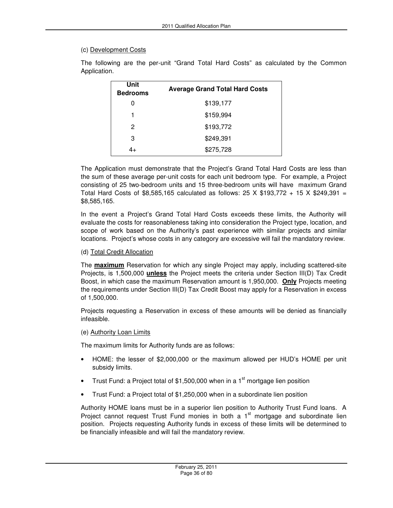#### (c) Development Costs

| Unit<br><b>Bedrooms</b> | <b>Average Grand Total Hard Costs</b> |
|-------------------------|---------------------------------------|
| 0                       | \$139,177                             |
|                         | \$159,994                             |
| 2                       | \$193,772                             |
| 3                       | \$249,391                             |
| 4+                      | \$275,728                             |

The following are the per-unit "Grand Total Hard Costs" as calculated by the Common Application.

The Application must demonstrate that the Project's Grand Total Hard Costs are less than the sum of these average per-unit costs for each unit bedroom type. For example, a Project consisting of 25 two-bedroom units and 15 three-bedroom units will have maximum Grand Total Hard Costs of \$8,585,165 calculated as follows:  $25 \times$  \$193,772 + 15  $\times$  \$249,391 = \$8,585,165.

In the event a Project's Grand Total Hard Costs exceeds these limits, the Authority will evaluate the costs for reasonableness taking into consideration the Project type, location, and scope of work based on the Authority's past experience with similar projects and similar locations. Project's whose costs in any category are excessive will fail the mandatory review.

#### (d) Total Credit Allocation

The **maximum** Reservation for which any single Project may apply, including scattered-site Projects, is 1,500,000 **unless** the Project meets the criteria under Section III(D) Tax Credit Boost, in which case the maximum Reservation amount is 1,950,000. **Only** Projects meeting the requirements under Section III(D) Tax Credit Boost may apply for a Reservation in excess of 1,500,000.

Projects requesting a Reservation in excess of these amounts will be denied as financially infeasible.

#### (e) Authority Loan Limits

The maximum limits for Authority funds are as follows:

- HOME: the lesser of \$2,000,000 or the maximum allowed per HUD's HOME per unit subsidy limits.
- Trust Fund: a Project total of \$1,500,000 when in a  $1<sup>st</sup>$  mortgage lien position
- Trust Fund: a Project total of \$1,250,000 when in a subordinate lien position

Authority HOME loans must be in a superior lien position to Authority Trust Fund loans. A Project cannot request Trust Fund monies in both a  $1<sup>st</sup>$  mortgage and subordinate lien position. Projects requesting Authority funds in excess of these limits will be determined to be financially infeasible and will fail the mandatory review.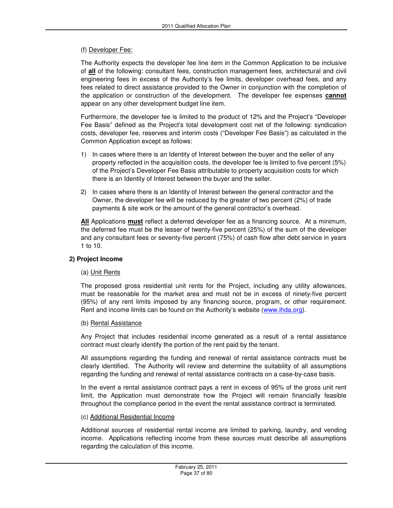### (f) Developer Fee:

The Authority expects the developer fee line item in the Common Application to be inclusive of **all** of the following: consultant fees, construction management fees, architectural and civil engineering fees in excess of the Authority's fee limits, developer overhead fees, and any fees related to direct assistance provided to the Owner in conjunction with the completion of the application or construction of the development. The developer fee expenses **cannot** appear on any other development budget line item.

Furthermore, the developer fee is limited to the product of 12% and the Project's "Developer Fee Basis" defined as the Project's total development cost net of the following: syndication costs, developer fee, reserves and interim costs ("Developer Fee Basis") as calculated in the Common Application except as follows:

- 1) In cases where there is an Identity of Interest between the buyer and the seller of any property reflected in the acquisition costs, the developer fee is limited to five percent (5%) of the Project's Developer Fee Basis attributable to property acquisition costs for which there is an Identity of Interest between the buyer and the seller.
- 2) In cases where there is an Identity of Interest between the general contractor and the Owner, the developer fee will be reduced by the greater of two percent (2%) of trade payments & site work or the amount of the general contractor's overhead.

**All** Applications **must** reflect a deferred developer fee as a financing source. At a minimum, the deferred fee must be the lesser of twenty-five percent (25%) of the sum of the developer and any consultant fees or seventy-five percent (75%) of cash flow after debt service in years 1 to 10.

### **2) Project Income**

## (a) Unit Rents

The proposed gross residential unit rents for the Project, including any utility allowances, must be reasonable for the market area and must not be in excess of ninety-five percent (95%) of any rent limits imposed by any financing source, program, or other requirement. Rent and income limits can be found on the Authority's website (www.ihda.org).

### (b) Rental Assistance

Any Project that includes residential income generated as a result of a rental assistance contract must clearly identify the portion of the rent paid by the tenant.

All assumptions regarding the funding and renewal of rental assistance contracts must be clearly identified. The Authority will review and determine the suitability of all assumptions regarding the funding and renewal of rental assistance contracts on a case-by-case basis.

In the event a rental assistance contract pays a rent in excess of 95% of the gross unit rent limit, the Application must demonstrate how the Project will remain financially feasible throughout the compliance period in the event the rental assistance contract is terminated.

### (c) Additional Residential Income

Additional sources of residential rental income are limited to parking, laundry, and vending income. Applications reflecting income from these sources must describe all assumptions regarding the calculation of this income.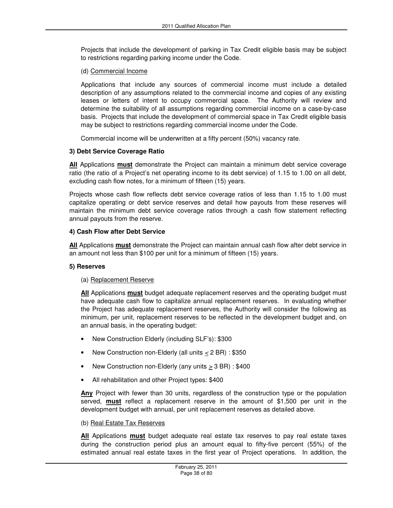Projects that include the development of parking in Tax Credit eligible basis may be subject to restrictions regarding parking income under the Code.

#### (d) Commercial Income

Applications that include any sources of commercial income must include a detailed description of any assumptions related to the commercial income and copies of any existing leases or letters of intent to occupy commercial space. The Authority will review and determine the suitability of all assumptions regarding commercial income on a case-by-case basis. Projects that include the development of commercial space in Tax Credit eligible basis may be subject to restrictions regarding commercial income under the Code.

Commercial income will be underwritten at a fifty percent (50%) vacancy rate.

### **3) Debt Service Coverage Ratio**

**All** Applications **must** demonstrate the Project can maintain a minimum debt service coverage ratio (the ratio of a Project's net operating income to its debt service) of 1.15 to 1.00 on all debt, excluding cash flow notes, for a minimum of fifteen (15) years.

Projects whose cash flow reflects debt service coverage ratios of less than 1.15 to 1.00 must capitalize operating or debt service reserves and detail how payouts from these reserves will maintain the minimum debt service coverage ratios through a cash flow statement reflecting annual payouts from the reserve.

### **4) Cash Flow after Debt Service**

**All** Applications **must** demonstrate the Project can maintain annual cash flow after debt service in an amount not less than \$100 per unit for a minimum of fifteen (15) years.

### **5) Reserves**

### (a) Replacement Reserve

**All** Applications **must** budget adequate replacement reserves and the operating budget must have adequate cash flow to capitalize annual replacement reserves. In evaluating whether the Project has adequate replacement reserves, the Authority will consider the following as minimum, per unit, replacement reserves to be reflected in the development budget and, on an annual basis, in the operating budget:

- New Construction Elderly (including SLF's): \$300
- New Construction non-Elderly (all units  $\leq$  2 BR) : \$350
- New Construction non-Elderly (any units  $\geq$  3 BR) : \$400
- All rehabilitation and other Project types: \$400

**Any** Project with fewer than 30 units, regardless of the construction type or the population served, **must** reflect a replacement reserve in the amount of \$1,500 per unit in the development budget with annual, per unit replacement reserves as detailed above.

#### (b) Real Estate Tax Reserves

**All** Applications **must** budget adequate real estate tax reserves to pay real estate taxes during the construction period plus an amount equal to fifty-five percent (55%) of the estimated annual real estate taxes in the first year of Project operations. In addition, the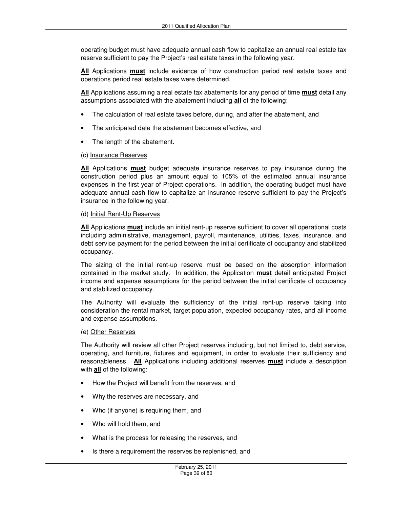operating budget must have adequate annual cash flow to capitalize an annual real estate tax reserve sufficient to pay the Project's real estate taxes in the following year.

**All** Applications **must** include evidence of how construction period real estate taxes and operations period real estate taxes were determined.

**All** Applications assuming a real estate tax abatements for any period of time **must** detail any assumptions associated with the abatement including **all** of the following:

- The calculation of real estate taxes before, during, and after the abatement, and
- The anticipated date the abatement becomes effective, and
- The length of the abatement.

#### (c) Insurance Reserves

**All** Applications **must** budget adequate insurance reserves to pay insurance during the construction period plus an amount equal to 105% of the estimated annual insurance expenses in the first year of Project operations. In addition, the operating budget must have adequate annual cash flow to capitalize an insurance reserve sufficient to pay the Project's insurance in the following year.

#### (d) Initial Rent-Up Reserves

**All** Applications **must** include an initial rent-up reserve sufficient to cover all operational costs including administrative, management, payroll, maintenance, utilities, taxes, insurance, and debt service payment for the period between the initial certificate of occupancy and stabilized occupancy.

The sizing of the initial rent-up reserve must be based on the absorption information contained in the market study. In addition, the Application **must** detail anticipated Project income and expense assumptions for the period between the initial certificate of occupancy and stabilized occupancy.

The Authority will evaluate the sufficiency of the initial rent-up reserve taking into consideration the rental market, target population, expected occupancy rates, and all income and expense assumptions.

#### (e) Other Reserves

The Authority will review all other Project reserves including, but not limited to, debt service, operating, and furniture, fixtures and equipment, in order to evaluate their sufficiency and reasonableness. **All** Applications including additional reserves **must** include a description with **all** of the following:

- How the Project will benefit from the reserves, and
- Why the reserves are necessary, and
- Who (if anyone) is requiring them, and
- Who will hold them, and
- What is the process for releasing the reserves, and
- Is there a requirement the reserves be replenished, and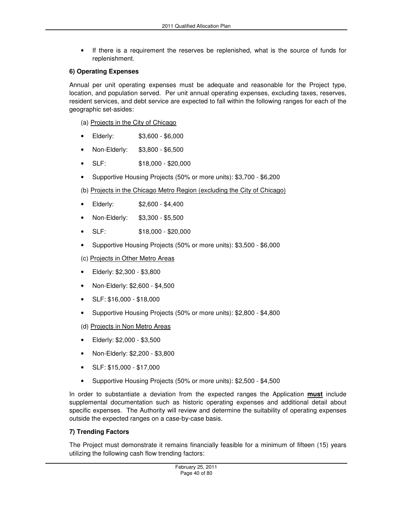• If there is a requirement the reserves be replenished, what is the source of funds for replenishment.

### **6) Operating Expenses**

Annual per unit operating expenses must be adequate and reasonable for the Project type, location, and population served. Per unit annual operating expenses, excluding taxes, reserves, resident services, and debt service are expected to fall within the following ranges for each of the geographic set-asides:

- (a) Projects in the City of Chicago
- Elderly: \$3,600 \$6,000
- Non-Elderly: \$3,800 \$6,500
- SLF: \$18,000 \$20,000
- Supportive Housing Projects (50% or more units): \$3,700 \$6,200

(b) Projects in the Chicago Metro Region (excluding the City of Chicago)

- Elderly: \$2,600 \$4,400
- Non-Elderly: \$3,300 \$5,500
- SLF: \$18,000 \$20,000
- Supportive Housing Projects (50% or more units): \$3,500 \$6,000
- (c) Projects in Other Metro Areas
- Elderly: \$2,300 \$3,800
- Non-Elderly: \$2,600 \$4,500
- SLF: \$16,000 \$18,000
- Supportive Housing Projects (50% or more units): \$2,800 \$4,800
- (d) Projects in Non Metro Areas
- Elderly: \$2,000 \$3,500
- Non-Elderly: \$2,200 \$3,800
- SLF: \$15,000 \$17,000
- Supportive Housing Projects (50% or more units): \$2,500 \$4,500

In order to substantiate a deviation from the expected ranges the Application **must** include supplemental documentation such as historic operating expenses and additional detail about specific expenses. The Authority will review and determine the suitability of operating expenses outside the expected ranges on a case-by-case basis.

### **7) Trending Factors**

The Project must demonstrate it remains financially feasible for a minimum of fifteen (15) years utilizing the following cash flow trending factors: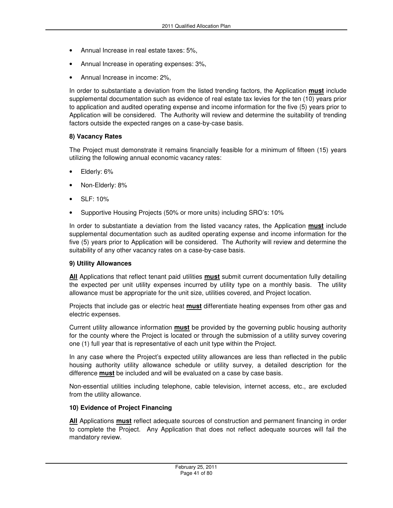- Annual Increase in real estate taxes: 5%,
- Annual Increase in operating expenses: 3%,
- Annual Increase in income: 2%,

In order to substantiate a deviation from the listed trending factors, the Application **must** include supplemental documentation such as evidence of real estate tax levies for the ten (10) years prior to application and audited operating expense and income information for the five (5) years prior to Application will be considered. The Authority will review and determine the suitability of trending factors outside the expected ranges on a case-by-case basis.

#### **8) Vacancy Rates**

The Project must demonstrate it remains financially feasible for a minimum of fifteen (15) years utilizing the following annual economic vacancy rates:

- Elderly: 6%
- Non-Elderly: 8%
- SLF: 10%
- Supportive Housing Projects (50% or more units) including SRO's: 10%

In order to substantiate a deviation from the listed vacancy rates, the Application **must** include supplemental documentation such as audited operating expense and income information for the five (5) years prior to Application will be considered. The Authority will review and determine the suitability of any other vacancy rates on a case-by-case basis.

#### **9) Utility Allowances**

**All** Applications that reflect tenant paid utilities **must** submit current documentation fully detailing the expected per unit utility expenses incurred by utility type on a monthly basis. The utility allowance must be appropriate for the unit size, utilities covered, and Project location.

Projects that include gas or electric heat **must** differentiate heating expenses from other gas and electric expenses.

Current utility allowance information **must** be provided by the governing public housing authority for the county where the Project is located or through the submission of a utility survey covering one (1) full year that is representative of each unit type within the Project.

In any case where the Project's expected utility allowances are less than reflected in the public housing authority utility allowance schedule or utility survey, a detailed description for the difference **must** be included and will be evaluated on a case by case basis.

Non-essential utilities including telephone, cable television, internet access, etc., are excluded from the utility allowance.

#### **10) Evidence of Project Financing**

**All** Applications **must** reflect adequate sources of construction and permanent financing in order to complete the Project. Any Application that does not reflect adequate sources will fail the mandatory review.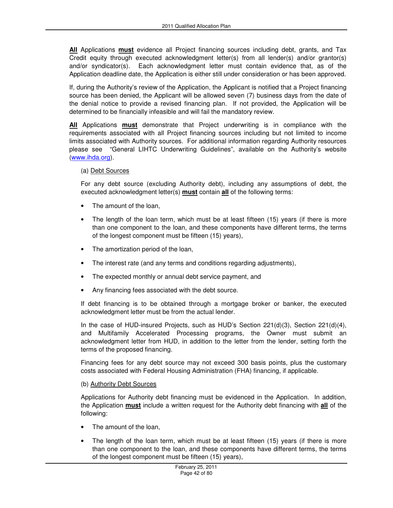**All** Applications **must** evidence all Project financing sources including debt, grants, and Tax Credit equity through executed acknowledgment letter(s) from all lender(s) and/or grantor(s) and/or syndicator(s). Each acknowledgment letter must contain evidence that, as of the Application deadline date, the Application is either still under consideration or has been approved.

If, during the Authority's review of the Application, the Applicant is notified that a Project financing source has been denied, the Applicant will be allowed seven (7) business days from the date of the denial notice to provide a revised financing plan. If not provided, the Application will be determined to be financially infeasible and will fail the mandatory review.

**All** Applications **must** demonstrate that Project underwriting is in compliance with the requirements associated with all Project financing sources including but not limited to income limits associated with Authority sources. For additional information regarding Authority resources please see "General LIHTC Underwriting Guidelines", available on the Authority's website (www.ihda.org).

#### (a) Debt Sources

For any debt source (excluding Authority debt), including any assumptions of debt, the executed acknowledgment letter(s) **must** contain **all** of the following terms:

- The amount of the loan,
- The length of the loan term, which must be at least fifteen (15) years (if there is more than one component to the loan, and these components have different terms, the terms of the longest component must be fifteen (15) years),
- The amortization period of the loan,
- The interest rate (and any terms and conditions regarding adjustments),
- The expected monthly or annual debt service payment, and
- Any financing fees associated with the debt source.

If debt financing is to be obtained through a mortgage broker or banker, the executed acknowledgment letter must be from the actual lender.

In the case of HUD-insured Projects, such as HUD's Section  $221(d)(3)$ , Section  $221(d)(4)$ , and Multifamily Accelerated Processing programs, the Owner must submit an acknowledgment letter from HUD, in addition to the letter from the lender, setting forth the terms of the proposed financing.

Financing fees for any debt source may not exceed 300 basis points, plus the customary costs associated with Federal Housing Administration (FHA) financing, if applicable.

#### (b) Authority Debt Sources

Applications for Authority debt financing must be evidenced in the Application. In addition, the Application **must** include a written request for the Authority debt financing with **all** of the following:

- The amount of the loan,
- The length of the loan term, which must be at least fifteen (15) years (if there is more than one component to the loan, and these components have different terms, the terms of the longest component must be fifteen (15) years),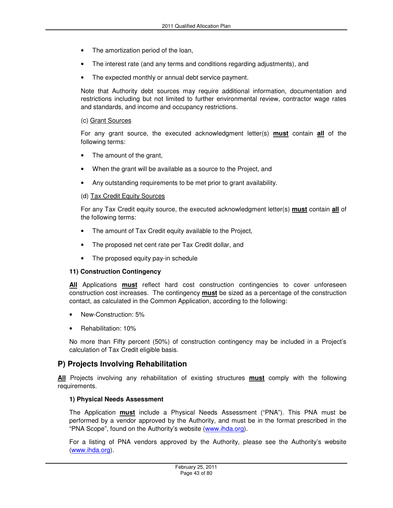- The amortization period of the loan,
- The interest rate (and any terms and conditions regarding adjustments), and
- The expected monthly or annual debt service payment.

Note that Authority debt sources may require additional information, documentation and restrictions including but not limited to further environmental review, contractor wage rates and standards, and income and occupancy restrictions.

#### (c) Grant Sources

For any grant source, the executed acknowledgment letter(s) **must** contain **all** of the following terms:

- The amount of the grant,
- When the grant will be available as a source to the Project, and
- Any outstanding requirements to be met prior to grant availability.

#### (d) Tax Credit Equity Sources

For any Tax Credit equity source, the executed acknowledgment letter(s) **must** contain **all** of the following terms:

- The amount of Tax Credit equity available to the Project,
- The proposed net cent rate per Tax Credit dollar, and
- The proposed equity pay-in schedule

#### **11) Construction Contingency**

**All** Applications **must** reflect hard cost construction contingencies to cover unforeseen construction cost increases. The contingency **must** be sized as a percentage of the construction contact, as calculated in the Common Application, according to the following:

- New-Construction: 5%
- Rehabilitation: 10%

No more than Fifty percent (50%) of construction contingency may be included in a Project's calculation of Tax Credit eligible basis.

## **P) Projects Involving Rehabilitation**

**All** Projects involving any rehabilitation of existing structures **must** comply with the following requirements.

#### **1) Physical Needs Assessment**

The Application **must** include a Physical Needs Assessment ("PNA"). This PNA must be performed by a vendor approved by the Authority, and must be in the format prescribed in the "PNA Scope", found on the Authority's website (www.ihda.org).

For a listing of PNA vendors approved by the Authority, please see the Authority's website (www.ihda.org).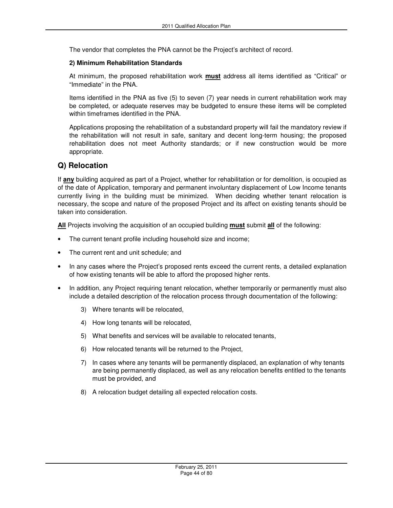The vendor that completes the PNA cannot be the Project's architect of record.

#### **2) Minimum Rehabilitation Standards**

At minimum, the proposed rehabilitation work **must** address all items identified as "Critical" or "Immediate" in the PNA.

Items identified in the PNA as five (5) to seven (7) year needs in current rehabilitation work may be completed, or adequate reserves may be budgeted to ensure these items will be completed within timeframes identified in the PNA.

Applications proposing the rehabilitation of a substandard property will fail the mandatory review if the rehabilitation will not result in safe, sanitary and decent long-term housing; the proposed rehabilitation does not meet Authority standards; or if new construction would be more appropriate.

## **Q) Relocation**

If **any** building acquired as part of a Project, whether for rehabilitation or for demolition, is occupied as of the date of Application, temporary and permanent involuntary displacement of Low Income tenants currently living in the building must be minimized. When deciding whether tenant relocation is necessary, the scope and nature of the proposed Project and its affect on existing tenants should be taken into consideration.

**All** Projects involving the acquisition of an occupied building **must** submit **all** of the following:

- The current tenant profile including household size and income;
- The current rent and unit schedule; and
- In any cases where the Project's proposed rents exceed the current rents, a detailed explanation of how existing tenants will be able to afford the proposed higher rents.
- In addition, any Project requiring tenant relocation, whether temporarily or permanently must also include a detailed description of the relocation process through documentation of the following:
	- 3) Where tenants will be relocated,
	- 4) How long tenants will be relocated,
	- 5) What benefits and services will be available to relocated tenants,
	- 6) How relocated tenants will be returned to the Project,
	- 7) In cases where any tenants will be permanently displaced, an explanation of why tenants are being permanently displaced, as well as any relocation benefits entitled to the tenants must be provided, and
	- 8) A relocation budget detailing all expected relocation costs.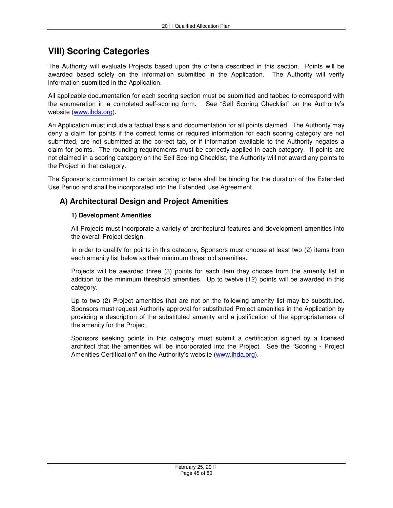# **VIII) Scoring Categories**

The Authority will evaluate Projects based upon the criteria described in this section. Points will be awarded based solely on the information submitted in the Application. The Authority will verify information submitted in the Application.

All applicable documentation for each scoring section must be submitted and tabbed to correspond with the enumeration in a completed self-scoring form. See "Self Scoring Checklist" on the Authority's website (www.ihda.org).

An Application must include a factual basis and documentation for all points claimed. The Authority may deny a claim for points if the correct forms or required information for each scoring category are not submitted, are not submitted at the correct tab, or if information available to the Authority negates a claim for points. The rounding requirements must be correctly applied in each category. If points are not claimed in a scoring category on the Self Scoring Checklist, the Authority will not award any points to the Project in that category.

The Sponsor's commitment to certain scoring criteria shall be binding for the duration of the Extended Use Period and shall be incorporated into the Extended Use Agreement.

# **A) Architectural Design and Project Amenities**

### **1) Development Amenities**

All Projects must incorporate a variety of architectural features and development amenities into the overall Project design.

In order to qualify for points in this category, Sponsors must choose at least two (2) items from each amenity list below as their minimum threshold amenities.

Projects will be awarded three (3) points for each item they choose from the amenity list in addition to the minimum threshold amenities. Up to twelve (12) points will be awarded in this category.

Up to two (2) Project amenities that are not on the following amenity list may be substituted. Sponsors must request Authority approval for substituted Project amenities in the Application by providing a description of the substituted amenity and a justification of the appropriateness of the amenity for the Project.

Sponsors seeking points in this category must submit a certification signed by a licensed architect that the amenities will be incorporated into the Project. See the "Scoring - Project Amenities Certification" on the Authority's website (www.ihda.org).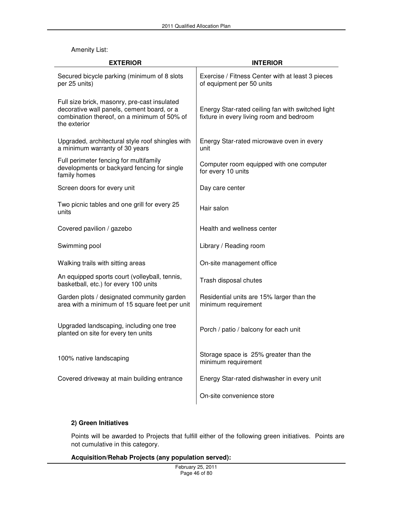#### Amenity List:

| <b>EXTERIOR</b>                                                                                                                                           | <b>INTERIOR</b>                                                                               |  |  |
|-----------------------------------------------------------------------------------------------------------------------------------------------------------|-----------------------------------------------------------------------------------------------|--|--|
| Secured bicycle parking (minimum of 8 slots<br>per 25 units)                                                                                              | Exercise / Fitness Center with at least 3 pieces<br>of equipment per 50 units                 |  |  |
| Full size brick, masonry, pre-cast insulated<br>decorative wall panels, cement board, or a<br>combination thereof, on a minimum of 50% of<br>the exterior | Energy Star-rated ceiling fan with switched light<br>fixture in every living room and bedroom |  |  |
| Upgraded, architectural style roof shingles with<br>a minimum warranty of 30 years                                                                        | Energy Star-rated microwave oven in every<br>unit                                             |  |  |
| Full perimeter fencing for multifamily<br>developments or backyard fencing for single<br>family homes                                                     | Computer room equipped with one computer<br>for every 10 units                                |  |  |
| Screen doors for every unit                                                                                                                               | Day care center                                                                               |  |  |
| Two picnic tables and one grill for every 25<br>units                                                                                                     | Hair salon                                                                                    |  |  |
| Covered pavilion / gazebo                                                                                                                                 | Health and wellness center                                                                    |  |  |
| Swimming pool                                                                                                                                             | Library / Reading room                                                                        |  |  |
| Walking trails with sitting areas                                                                                                                         | On-site management office                                                                     |  |  |
| An equipped sports court (volleyball, tennis,<br>basketball, etc.) for every 100 units                                                                    | Trash disposal chutes                                                                         |  |  |
| Garden plots / designated community garden<br>area with a minimum of 15 square feet per unit                                                              | Residential units are 15% larger than the<br>minimum requirement                              |  |  |
| Upgraded landscaping, including one tree<br>planted on site for every ten units                                                                           | Porch / patio / balcony for each unit                                                         |  |  |
| 100% native landscaping                                                                                                                                   | Storage space is 25% greater than the<br>minimum requirement                                  |  |  |
| Covered driveway at main building entrance                                                                                                                | Energy Star-rated dishwasher in every unit                                                    |  |  |
|                                                                                                                                                           | On-site convenience store                                                                     |  |  |

### **2) Green Initiatives**

Points will be awarded to Projects that fulfill either of the following green initiatives. Points are not cumulative in this category.

#### **Acquisition/Rehab Projects (any population served):**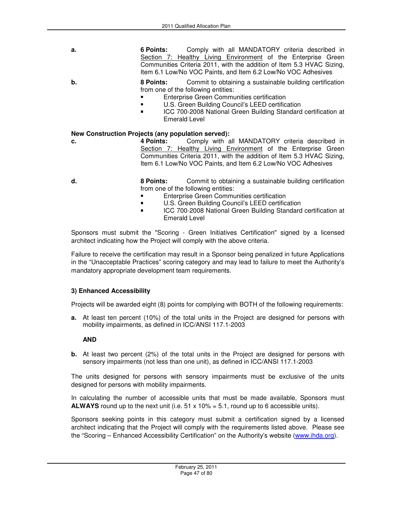- **a. 6 Points:** Comply with all MANDATORY criteria described in Section 7: Healthy Living Environment of the Enterprise Green Communities Criteria 2011, with the addition of Item 5.3 HVAC Sizing, Item 6.1 Low/No VOC Paints, and Item 6.2 Low/No VOC Adhesives
- **b.** 8 Points: Commit to obtaining a sustainable building certification from one of the following entities:
	- Enterprise Green Communities certification
	- **U.S. Green Building Council's LEED certification**
	- ICC 700-2008 National Green Building Standard certification at Emerald Level

#### **New Construction Projects (any population served):**

- 
- **c. 4 Points:** Comply with all MANDATORY criteria described in Section 7: Healthy Living Environment of the Enterprise Green Communities Criteria 2011, with the addition of Item 5.3 HVAC Sizing, Item 6.1 Low/No VOC Paints, and Item 6.2 Low/No VOC Adhesives
- **d. 8 Points: Commit to obtaining a sustainable building certification** from one of the following entities:
	- Enterprise Green Communities certification
	- U.S. Green Building Council's LEED certification
	- **ICC 700-2008 National Green Building Standard certification at** Emerald Level

Sponsors must submit the "Scoring - Green Initiatives Certification" signed by a licensed architect indicating how the Project will comply with the above criteria.

Failure to receive the certification may result in a Sponsor being penalized in future Applications in the "Unacceptable Practices" scoring category and may lead to failure to meet the Authority's mandatory appropriate development team requirements.

#### **3) Enhanced Accessibility**

Projects will be awarded eight (8) points for complying with BOTH of the following requirements:

**a.** At least ten percent (10%) of the total units in the Project are designed for persons with mobility impairments, as defined in ICC/ANSI 117.1-2003

#### **AND**

**b.** At least two percent (2%) of the total units in the Project are designed for persons with sensory impairments (not less than one unit), as defined in ICC/ANSI 117.1-2003

The units designed for persons with sensory impairments must be exclusive of the units designed for persons with mobility impairments.

In calculating the number of accessible units that must be made available, Sponsors must **ALWAYS** round up to the next unit (i.e.  $51 \times 10\% = 5.1$ , round up to 6 accessible units).

Sponsors seeking points in this category must submit a certification signed by a licensed architect indicating that the Project will comply with the requirements listed above. Please see the "Scoring – Enhanced Accessibility Certification" on the Authority's website (www.ihda.org).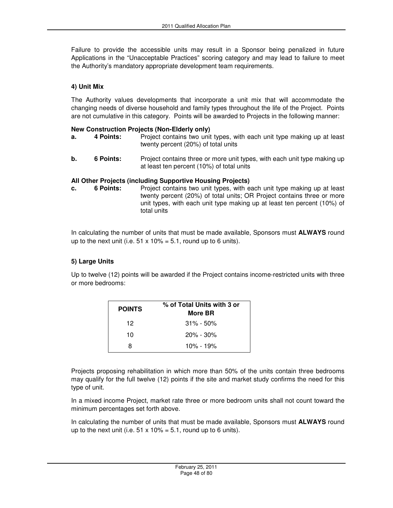Failure to provide the accessible units may result in a Sponsor being penalized in future Applications in the "Unacceptable Practices" scoring category and may lead to failure to meet the Authority's mandatory appropriate development team requirements.

### **4) Unit Mix**

The Authority values developments that incorporate a unit mix that will accommodate the changing needs of diverse household and family types throughout the life of the Project. Points are not cumulative in this category. Points will be awarded to Projects in the following manner:

#### **New Construction Projects (Non-Elderly only)**

- **a.** 4 Points: Project contains two unit types, with each unit type making up at least twenty percent (20%) of total units
- **b.** 6 Points: Project contains three or more unit types, with each unit type making up at least ten percent (10%) of total units

#### **All Other Projects (including Supportive Housing Projects)**

**c. 6 Points:** Project contains two unit types, with each unit type making up at least twenty percent (20%) of total units; OR Project contains three or more unit types, with each unit type making up at least ten percent (10%) of total units

In calculating the number of units that must be made available, Sponsors must **ALWAYS** round up to the next unit (i.e.  $51 \times 10\% = 5.1$ , round up to 6 units).

### **5) Large Units**

Up to twelve (12) points will be awarded if the Project contains income-restricted units with three or more bedrooms:

| <b>POINTS</b> | % of Total Units with 3 or<br>More BR |
|---------------|---------------------------------------|
| 12            | $31\% - 50\%$                         |
| 10            | $20\% - 30\%$                         |
| я             | 10% - 19%                             |

Projects proposing rehabilitation in which more than 50% of the units contain three bedrooms may qualify for the full twelve (12) points if the site and market study confirms the need for this type of unit.

In a mixed income Project, market rate three or more bedroom units shall not count toward the minimum percentages set forth above.

In calculating the number of units that must be made available, Sponsors must **ALWAYS** round up to the next unit (i.e.  $51 \times 10\% = 5.1$ , round up to 6 units).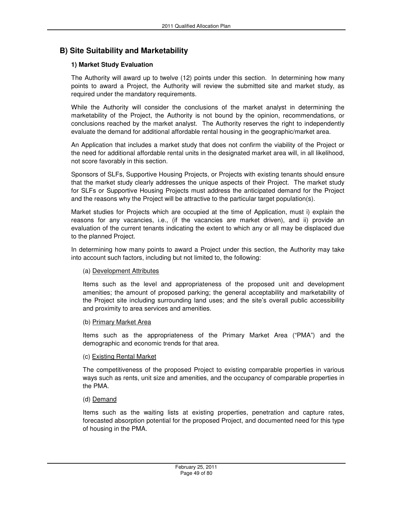# **B) Site Suitability and Marketability**

### **1) Market Study Evaluation**

The Authority will award up to twelve (12) points under this section. In determining how many points to award a Project, the Authority will review the submitted site and market study, as required under the mandatory requirements.

While the Authority will consider the conclusions of the market analyst in determining the marketability of the Project, the Authority is not bound by the opinion, recommendations, or conclusions reached by the market analyst. The Authority reserves the right to independently evaluate the demand for additional affordable rental housing in the geographic/market area.

An Application that includes a market study that does not confirm the viability of the Project or the need for additional affordable rental units in the designated market area will, in all likelihood, not score favorably in this section.

Sponsors of SLFs, Supportive Housing Projects, or Projects with existing tenants should ensure that the market study clearly addresses the unique aspects of their Project. The market study for SLFs or Supportive Housing Projects must address the anticipated demand for the Project and the reasons why the Project will be attractive to the particular target population(s).

Market studies for Projects which are occupied at the time of Application, must i) explain the reasons for any vacancies, i.e., (if the vacancies are market driven), and ii) provide an evaluation of the current tenants indicating the extent to which any or all may be displaced due to the planned Project.

In determining how many points to award a Project under this section, the Authority may take into account such factors, including but not limited to, the following:

### (a) Development Attributes

Items such as the level and appropriateness of the proposed unit and development amenities; the amount of proposed parking; the general acceptability and marketability of the Project site including surrounding land uses; and the site's overall public accessibility and proximity to area services and amenities.

#### (b) Primary Market Area

Items such as the appropriateness of the Primary Market Area ("PMA") and the demographic and economic trends for that area.

### (c) Existing Rental Market

The competitiveness of the proposed Project to existing comparable properties in various ways such as rents, unit size and amenities, and the occupancy of comparable properties in the PMA.

### (d) Demand

Items such as the waiting lists at existing properties, penetration and capture rates, forecasted absorption potential for the proposed Project, and documented need for this type of housing in the PMA.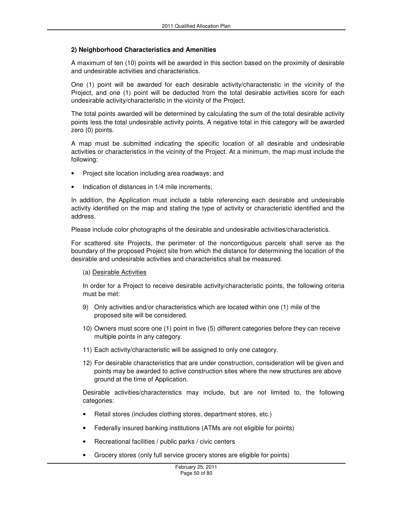#### **2) Neighborhood Characteristics and Amenities**

A maximum of ten (10) points will be awarded in this section based on the proximity of desirable and undesirable activities and characteristics.

One (1) point will be awarded for each desirable activity/characteristic in the vicinity of the Project, and one (1) point will be deducted from the total desirable activities score for each undesirable activity/characteristic in the vicinity of the Project.

The total points awarded will be determined by calculating the sum of the total desirable activity points less the total undesirable activity points. A negative total in this category will be awarded zero (0) points.

A map must be submitted indicating the specific location of all desirable and undesirable activities or characteristics in the vicinity of the Project. At a minimum, the map must include the following:

- Project site location including area roadways; and
- Indication of distances in 1/4 mile increments;

In addition, the Application must include a table referencing each desirable and undesirable activity identified on the map and stating the type of activity or characteristic identified and the address.

Please include color photographs of the desirable and undesirable activities/characteristics.

For scattered site Projects, the perimeter of the noncontiguous parcels shall serve as the boundary of the proposed Project site from which the distance for determining the location of the desirable and undesirable activities and characteristics shall be measured.

#### (a) Desirable Activities

In order for a Project to receive desirable activity/characteristic points, the following criteria must be met:

- 9) Only activities and/or characteristics which are located within one (1) mile of the proposed site will be considered.
- 10) Owners must score one (1) point in five (5) different categories before they can receive multiple points in any category.
- 11) Each activity/characteristic will be assigned to only one category.
- 12) For desirable characteristics that are under construction, consideration will be given and points may be awarded to active construction sites where the new structures are above ground at the time of Application.

Desirable activities/characteristics may include, but are not limited to, the following categories:

- Retail stores (includes clothing stores, department stores, etc.)
- Federally insured banking institutions (ATMs are not eligible for points)
- Recreational facilities / public parks / civic centers
- Grocery stores (only full service grocery stores are eligible for points)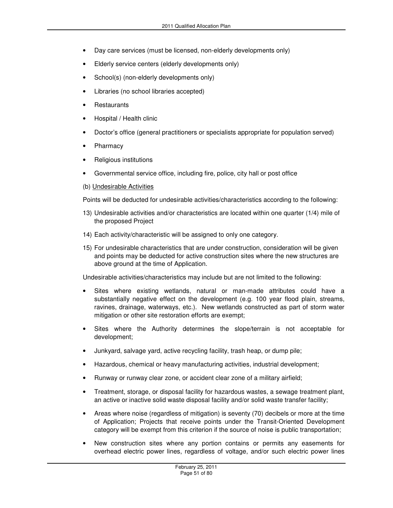- Day care services (must be licensed, non-elderly developments only)
- Elderly service centers (elderly developments only)
- School(s) (non-elderly developments only)
- Libraries (no school libraries accepted)
- **Restaurants**
- Hospital / Health clinic
- Doctor's office (general practitioners or specialists appropriate for population served)
- **Pharmacy**
- Religious institutions
- Governmental service office, including fire, police, city hall or post office
- (b) Undesirable Activities

Points will be deducted for undesirable activities/characteristics according to the following:

- 13) Undesirable activities and/or characteristics are located within one quarter (1/4) mile of the proposed Project
- 14) Each activity/characteristic will be assigned to only one category.
- 15) For undesirable characteristics that are under construction, consideration will be given and points may be deducted for active construction sites where the new structures are above ground at the time of Application.

Undesirable activities/characteristics may include but are not limited to the following:

- Sites where existing wetlands, natural or man-made attributes could have a substantially negative effect on the development (e.g. 100 year flood plain, streams, ravines, drainage, waterways, etc.). New wetlands constructed as part of storm water mitigation or other site restoration efforts are exempt;
- Sites where the Authority determines the slope/terrain is not acceptable for development;
- Junkyard, salvage yard, active recycling facility, trash heap, or dump pile;
- Hazardous, chemical or heavy manufacturing activities, industrial development;
- Runway or runway clear zone, or accident clear zone of a military airfield;
- Treatment, storage, or disposal facility for hazardous wastes, a sewage treatment plant, an active or inactive solid waste disposal facility and/or solid waste transfer facility;
- Areas where noise (regardless of mitigation) is seventy (70) decibels or more at the time of Application; Projects that receive points under the Transit-Oriented Development category will be exempt from this criterion if the source of noise is public transportation;
- New construction sites where any portion contains or permits any easements for overhead electric power lines, regardless of voltage, and/or such electric power lines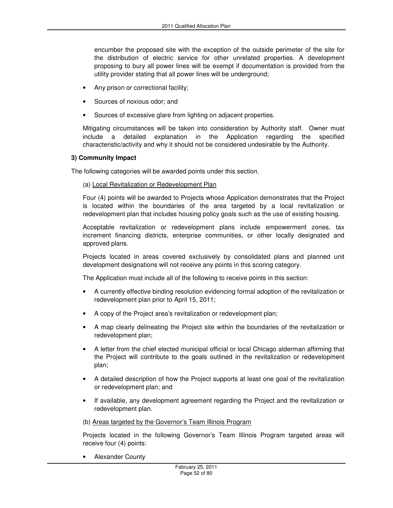encumber the proposed site with the exception of the outside perimeter of the site for the distribution of electric service for other unrelated properties. A development proposing to bury all power lines will be exempt if documentation is provided from the utility provider stating that all power lines will be underground;

- Any prison or correctional facility;
- Sources of noxious odor; and
- Sources of excessive glare from lighting on adjacent properties.

Mitigating circumstances will be taken into consideration by Authority staff. Owner must include a detailed explanation in the Application regarding the specified characteristic/activity and why it should not be considered undesirable by the Authority.

#### **3) Community Impact**

The following categories will be awarded points under this section.

(a) Local Revitalization or Redevelopment Plan

Four (4) points will be awarded to Projects whose Application demonstrates that the Project is located within the boundaries of the area targeted by a local revitalization or redevelopment plan that includes housing policy goals such as the use of existing housing.

Acceptable revitalization or redevelopment plans include empowerment zones, tax increment financing districts, enterprise communities, or other locally designated and approved plans.

Projects located in areas covered exclusively by consolidated plans and planned unit development designations will not receive any points in this scoring category.

The Application must include all of the following to receive points in this section:

- A currently effective binding resolution evidencing formal adoption of the revitalization or redevelopment plan prior to April 15, 2011;
- A copy of the Project area's revitalization or redevelopment plan;
- A map clearly delineating the Project site within the boundaries of the revitalization or redevelopment plan;
- A letter from the chief elected municipal official or local Chicago alderman affirming that the Project will contribute to the goals outlined in the revitalization or redevelopment plan;
- A detailed description of how the Project supports at least one goal of the revitalization or redevelopment plan; and
- If available, any development agreement regarding the Project and the revitalization or redevelopment plan.

#### (b) Areas targeted by the Governor's Team Illinois Program

Projects located in the following Governor's Team Illinois Program targeted areas will receive four (4) points:

• Alexander County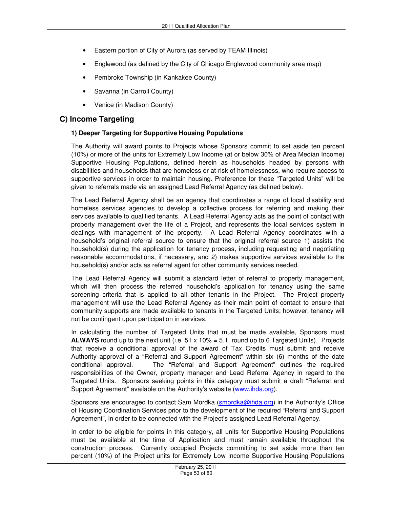- Eastern portion of City of Aurora (as served by TEAM Illinois)
- Englewood (as defined by the City of Chicago Englewood community area map)
- Pembroke Township (in Kankakee County)
- Savanna (in Carroll County)
- Venice (in Madison County)

# **C) Income Targeting**

#### **1) Deeper Targeting for Supportive Housing Populations**

The Authority will award points to Projects whose Sponsors commit to set aside ten percent (10%) or more of the units for Extremely Low Income (at or below 30% of Area Median Income) Supportive Housing Populations, defined herein as households headed by persons with disabilities and households that are homeless or at-risk of homelessness, who require access to supportive services in order to maintain housing. Preference for these "Targeted Units" will be given to referrals made via an assigned Lead Referral Agency (as defined below).

The Lead Referral Agency shall be an agency that coordinates a range of local disability and homeless services agencies to develop a collective process for referring and making their services available to qualified tenants. A Lead Referral Agency acts as the point of contact with property management over the life of a Project, and represents the local services system in dealings with management of the property. A Lead Referral Agency coordinates with a household's original referral source to ensure that the original referral source 1) assists the household(s) during the application for tenancy process, including requesting and negotiating reasonable accommodations, if necessary, and 2) makes supportive services available to the household(s) and/or acts as referral agent for other community services needed.

The Lead Referral Agency will submit a standard letter of referral to property management, which will then process the referred household's application for tenancy using the same screening criteria that is applied to all other tenants in the Project. The Project property management will use the Lead Referral Agency as their main point of contact to ensure that community supports are made available to tenants in the Targeted Units; however, tenancy will not be contingent upon participation in services.

In calculating the number of Targeted Units that must be made available, Sponsors must **ALWAYS** round up to the next unit (i.e. 51 x 10% = 5.1, round up to 6 Targeted Units). Projects that receive a conditional approval of the award of Tax Credits must submit and receive Authority approval of a "Referral and Support Agreement" within six (6) months of the date conditional approval. The "Referral and Support Agreement" outlines the required responsibilities of the Owner, property manager and Lead Referral Agency in regard to the Targeted Units. Sponsors seeking points in this category must submit a draft "Referral and Support Agreement" available on the Authority's website (www.ihda.org).

Sponsors are encouraged to contact Sam Mordka (smordka@ihda.org) in the Authority's Office of Housing Coordination Services prior to the development of the required "Referral and Support Agreement", in order to be connected with the Project's assigned Lead Referral Agency.

In order to be eligible for points in this category, all units for Supportive Housing Populations must be available at the time of Application and must remain available throughout the construction process. Currently occupied Projects committing to set aside more than ten percent (10%) of the Project units for Extremely Low Income Supportive Housing Populations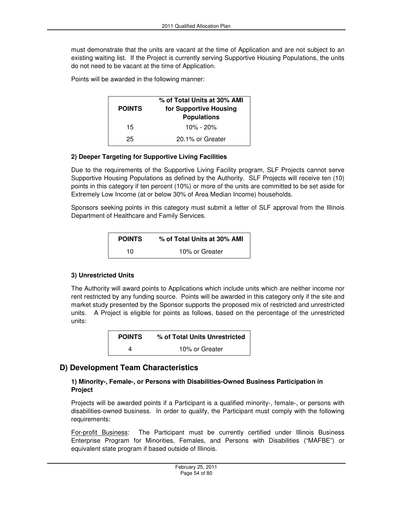must demonstrate that the units are vacant at the time of Application and are not subject to an existing waiting list. If the Project is currently serving Supportive Housing Populations, the units do not need to be vacant at the time of Application.

Points will be awarded in the following manner:

| <b>POINTS</b> | % of Total Units at 30% AMI<br>for Supportive Housing<br><b>Populations</b> |  |
|---------------|-----------------------------------------------------------------------------|--|
| 15            | $10\% - 20\%$                                                               |  |
| 25            | 20.1% or Greater                                                            |  |

### **2) Deeper Targeting for Supportive Living Facilities**

Due to the requirements of the Supportive Living Facility program, SLF Projects cannot serve Supportive Housing Populations as defined by the Authority. SLF Projects will receive ten (10) points in this category if ten percent (10%) or more of the units are committed to be set aside for Extremely Low Income (at or below 30% of Area Median Income) households.

Sponsors seeking points in this category must submit a letter of SLF approval from the Illinois Department of Healthcare and Family Services.

| <b>POINTS</b> | % of Total Units at 30% AMI |
|---------------|-----------------------------|
| 10            | 10% or Greater              |

### **3) Unrestricted Units**

The Authority will award points to Applications which include units which are neither income nor rent restricted by any funding source. Points will be awarded in this category only if the site and market study presented by the Sponsor supports the proposed mix of restricted and unrestricted units. A Project is eligible for points as follows, based on the percentage of the unrestricted units:

| <b>POINTS</b> | % of Total Units Unrestricted |
|---------------|-------------------------------|
|               | 10% or Greater                |

## **D) Development Team Characteristics**

#### **1) Minority-, Female-, or Persons with Disabilities-Owned Business Participation in Project**

Projects will be awarded points if a Participant is a qualified minority-, female-, or persons with disabilities-owned business. In order to qualify, the Participant must comply with the following requirements:

For-profit Business: The Participant must be currently certified under Illinois Business Enterprise Program for Minorities, Females, and Persons with Disabilities ("MAFBE") or equivalent state program if based outside of Illinois.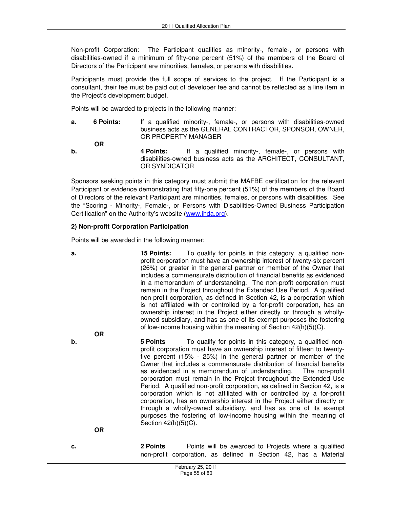Non-profit Corporation: The Participant qualifies as minority-, female-, or persons with disabilities-owned if a minimum of fifty-one percent (51%) of the members of the Board of Directors of the Participant are minorities, females, or persons with disabilities.

Participants must provide the full scope of services to the project. If the Participant is a consultant, their fee must be paid out of developer fee and cannot be reflected as a line item in the Project's development budget.

Points will be awarded to projects in the following manner:

**a.** 6 Points: If a qualified minority-, female-, or persons with disabilities-owned business acts as the GENERAL CONTRACTOR, SPONSOR, OWNER, OR PROPERTY MANAGER

**OR** 

**b. 4 Points:** If a qualified minority-, female-, or persons with disabilities-owned business acts as the ARCHITECT, CONSULTANT, OR SYNDICATOR

Sponsors seeking points in this category must submit the MAFBE certification for the relevant Participant or evidence demonstrating that fifty-one percent (51%) of the members of the Board of Directors of the relevant Participant are minorities, females, or persons with disabilities. See the "Scoring - Minority-, Female-, or Persons with Disabilities-Owned Business Participation Certification" on the Authority's website (www.ihda.org).

### **2) Non-profit Corporation Participation**

Points will be awarded in the following manner:

**a.** 15 Points: To qualify for points in this category, a qualified nonprofit corporation must have an ownership interest of twenty-six percent (26%) or greater in the general partner or member of the Owner that includes a commensurate distribution of financial benefits as evidenced in a memorandum of understanding. The non-profit corporation must remain in the Project throughout the Extended Use Period. A qualified non-profit corporation, as defined in Section 42, is a corporation which is not affiliated with or controlled by a for-profit corporation, has an ownership interest in the Project either directly or through a whollyowned subsidiary, and has as one of its exempt purposes the fostering of low-income housing within the meaning of Section 42(h)(5)(C).  **OR b. 5 Points** To qualify for points in this category, a qualified nonprofit corporation must have an ownership interest of fifteen to twentyfive percent (15% - 25%) in the general partner or member of the Owner that includes a commensurate distribution of financial benefits as evidenced in a memorandum of understanding. The non-profit corporation must remain in the Project throughout the Extended Use Period. A qualified non-profit corporation, as defined in Section 42, is a corporation which is not affiliated with or controlled by a for-profit corporation, has an ownership interest in the Project either directly or through a wholly-owned subsidiary, and has as one of its exempt purposes the fostering of low-income housing within the meaning of Section 42(h)(5)(C). **OR c.** 2 Points **Points Points Points** will be awarded to Projects where a qualified non-profit corporation, as defined in Section 42, has a Material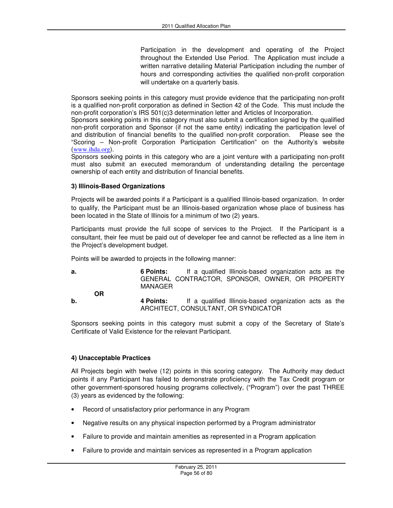Participation in the development and operating of the Project throughout the Extended Use Period. The Application must include a written narrative detailing Material Participation including the number of hours and corresponding activities the qualified non-profit corporation will undertake on a quarterly basis.

Sponsors seeking points in this category must provide evidence that the participating non-profit is a qualified non-profit corporation as defined in Section 42 of the Code. This must include the non-profit corporation's IRS 501(c)3 determination letter and Articles of Incorporation.

Sponsors seeking points in this category must also submit a certification signed by the qualified non-profit corporation and Sponsor (if not the same entity) indicating the participation level of and distribution of financial benefits to the qualified non-profit corporation. Please see the "Scoring – Non-profit Corporation Participation Certification" on the Authority's website (www.ihda.org).

Sponsors seeking points in this category who are a joint venture with a participating non-profit must also submit an executed memorandum of understanding detailing the percentage ownership of each entity and distribution of financial benefits.

#### **3) Illinois-Based Organizations**

Projects will be awarded points if a Participant is a qualified Illinois-based organization. In order to qualify, the Participant must be an Illinois-based organization whose place of business has been located in the State of Illinois for a minimum of two (2) years.

Participants must provide the full scope of services to the Project. If the Participant is a consultant, their fee must be paid out of developer fee and cannot be reflected as a line item in the Project's development budget.

Points will be awarded to projects in the following manner:

**a. 6 Points:** If a qualified Illinois-based organization acts as the GENERAL CONTRACTOR, SPONSOR, OWNER, OR PROPERTY MANAGER **OR** 

**b. 4 Points:** If a qualified Illinois-based organization acts as the ARCHITECT, CONSULTANT, OR SYNDICATOR

Sponsors seeking points in this category must submit a copy of the Secretary of State's Certificate of Valid Existence for the relevant Participant.

### **4) Unacceptable Practices**

All Projects begin with twelve (12) points in this scoring category. The Authority may deduct points if any Participant has failed to demonstrate proficiency with the Tax Credit program or other government-sponsored housing programs collectively, ("Program") over the past THREE (3) years as evidenced by the following:

- Record of unsatisfactory prior performance in any Program
- Negative results on any physical inspection performed by a Program administrator
- Failure to provide and maintain amenities as represented in a Program application
- Failure to provide and maintain services as represented in a Program application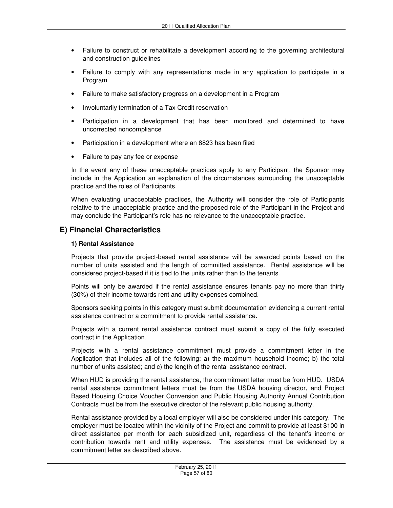- Failure to construct or rehabilitate a development according to the governing architectural and construction guidelines
- Failure to comply with any representations made in any application to participate in a Program
- Failure to make satisfactory progress on a development in a Program
- Involuntarily termination of a Tax Credit reservation
- Participation in a development that has been monitored and determined to have uncorrected noncompliance
- Participation in a development where an 8823 has been filed
- Failure to pay any fee or expense

In the event any of these unacceptable practices apply to any Participant, the Sponsor may include in the Application an explanation of the circumstances surrounding the unacceptable practice and the roles of Participants.

When evaluating unacceptable practices, the Authority will consider the role of Participants relative to the unacceptable practice and the proposed role of the Participant in the Project and may conclude the Participant's role has no relevance to the unacceptable practice.

# **E) Financial Characteristics**

### **1) Rental Assistance**

Projects that provide project-based rental assistance will be awarded points based on the number of units assisted and the length of committed assistance. Rental assistance will be considered project-based if it is tied to the units rather than to the tenants.

Points will only be awarded if the rental assistance ensures tenants pay no more than thirty (30%) of their income towards rent and utility expenses combined.

Sponsors seeking points in this category must submit documentation evidencing a current rental assistance contract or a commitment to provide rental assistance.

Projects with a current rental assistance contract must submit a copy of the fully executed contract in the Application.

Projects with a rental assistance commitment must provide a commitment letter in the Application that includes all of the following: a) the maximum household income; b) the total number of units assisted; and c) the length of the rental assistance contract.

When HUD is providing the rental assistance, the commitment letter must be from HUD. USDA rental assistance commitment letters must be from the USDA housing director, and Project Based Housing Choice Voucher Conversion and Public Housing Authority Annual Contribution Contracts must be from the executive director of the relevant public housing authority.

Rental assistance provided by a local employer will also be considered under this category. The employer must be located within the vicinity of the Project and commit to provide at least \$100 in direct assistance per month for each subsidized unit, regardless of the tenant's income or contribution towards rent and utility expenses. The assistance must be evidenced by a commitment letter as described above.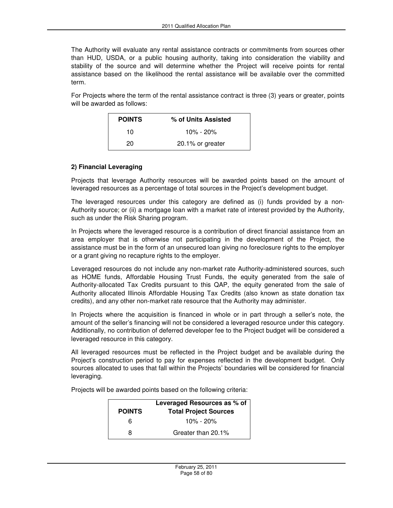The Authority will evaluate any rental assistance contracts or commitments from sources other than HUD, USDA, or a public housing authority, taking into consideration the viability and stability of the source and will determine whether the Project will receive points for rental assistance based on the likelihood the rental assistance will be available over the committed term.

For Projects where the term of the rental assistance contract is three (3) years or greater, points will be awarded as follows:

| <b>POINTS</b> | % of Units Assisted |
|---------------|---------------------|
| 10            | $10\% - 20\%$       |
| 20            | 20.1% or greater    |

### **2) Financial Leveraging**

Projects that leverage Authority resources will be awarded points based on the amount of leveraged resources as a percentage of total sources in the Project's development budget.

The leveraged resources under this category are defined as (i) funds provided by a non-Authority source; or (ii) a mortgage loan with a market rate of interest provided by the Authority, such as under the Risk Sharing program.

In Projects where the leveraged resource is a contribution of direct financial assistance from an area employer that is otherwise not participating in the development of the Project, the assistance must be in the form of an unsecured loan giving no foreclosure rights to the employer or a grant giving no recapture rights to the employer.

Leveraged resources do not include any non-market rate Authority-administered sources, such as HOME funds, Affordable Housing Trust Funds, the equity generated from the sale of Authority-allocated Tax Credits pursuant to this QAP, the equity generated from the sale of Authority allocated Illinois Affordable Housing Tax Credits (also known as state donation tax credits), and any other non-market rate resource that the Authority may administer.

In Projects where the acquisition is financed in whole or in part through a seller's note, the amount of the seller's financing will not be considered a leveraged resource under this category. Additionally, no contribution of deferred developer fee to the Project budget will be considered a leveraged resource in this category.

All leveraged resources must be reflected in the Project budget and be available during the Project's construction period to pay for expenses reflected in the development budget. Only sources allocated to uses that fall within the Projects' boundaries will be considered for financial leveraging.

Projects will be awarded points based on the following criteria:

|               | Leveraged Resources as % of  |
|---------------|------------------------------|
| <b>POINTS</b> | <b>Total Project Sources</b> |
| ิค            | 10% - 20%                    |
| я             | Greater than 20.1%           |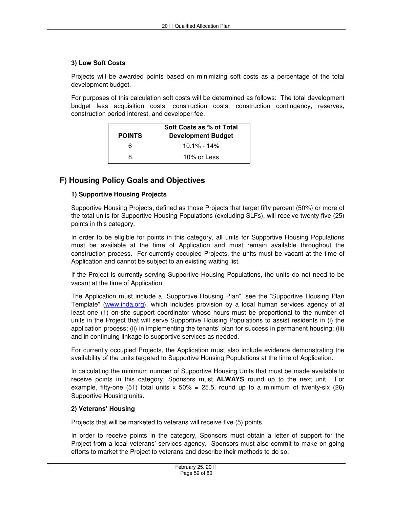#### **3) Low Soft Costs**

Projects will be awarded points based on minimizing soft costs as a percentage of the total development budget.

For purposes of this calculation soft costs will be determined as follows: The total development budget less acquisition costs, construction costs, construction contingency, reserves, construction period interest, and developer fee.

| <b>POINTS</b> | Soft Costs as % of Total<br><b>Development Budget</b> |
|---------------|-------------------------------------------------------|
| հ             | $10.1\% - 14\%$                                       |
| я             | 10% or Less                                           |

# **F) Housing Policy Goals and Objectives**

#### **1) Supportive Housing Projects**

Supportive Housing Projects, defined as those Projects that target fifty percent (50%) or more of the total units for Supportive Housing Populations (excluding SLFs), will receive twenty-five (25) points in this category.

In order to be eligible for points in this category, all units for Supportive Housing Populations must be available at the time of Application and must remain available throughout the construction process. For currently occupied Projects, the units must be vacant at the time of Application and cannot be subject to an existing waiting list.

If the Project is currently serving Supportive Housing Populations, the units do not need to be vacant at the time of Application.

The Application must include a "Supportive Housing Plan", see the "Supportive Housing Plan Template" (www.ihda.org), which includes provision by a local human services agency of at least one (1) on-site support coordinator whose hours must be proportional to the number of units in the Project that will serve Supportive Housing Populations to assist residents in (i) the application process; (ii) in implementing the tenants' plan for success in permanent housing; (iii) and in continuing linkage to supportive services as needed.

For currently occupied Projects, the Application must also include evidence demonstrating the availability of the units targeted to Supportive Housing Populations at the time of Application.

In calculating the minimum number of Supportive Housing Units that must be made available to receive points in this category, Sponsors must **ALWAYS** round up to the next unit. For example, fifty-one (51) total units  $x$  50% = 25.5, round up to a minimum of twenty-six (26) Supportive Housing units.

#### **2) Veterans' Housing**

Projects that will be marketed to veterans will receive five (5) points.

In order to receive points in the category, Sponsors must obtain a letter of support for the Project from a local veterans' services agency. Sponsors must also commit to make on-going efforts to market the Project to veterans and describe their methods to do so.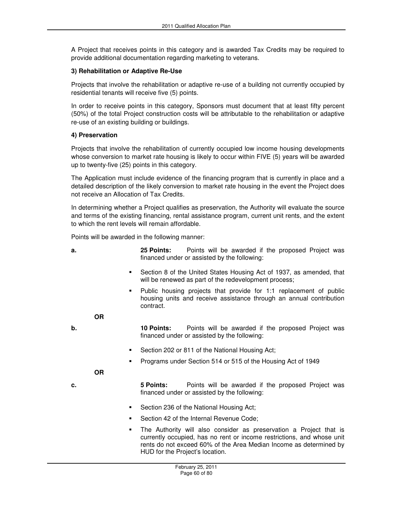A Project that receives points in this category and is awarded Tax Credits may be required to provide additional documentation regarding marketing to veterans.

### **3) Rehabilitation or Adaptive Re-Use**

Projects that involve the rehabilitation or adaptive re-use of a building not currently occupied by residential tenants will receive five (5) points.

In order to receive points in this category, Sponsors must document that at least fifty percent (50%) of the total Project construction costs will be attributable to the rehabilitation or adaptive re-use of an existing building or buildings.

#### **4) Preservation**

Projects that involve the rehabilitation of currently occupied low income housing developments whose conversion to market rate housing is likely to occur within FIVE (5) years will be awarded up to twenty-five (25) points in this category.

The Application must include evidence of the financing program that is currently in place and a detailed description of the likely conversion to market rate housing in the event the Project does not receive an Allocation of Tax Credits.

In determining whether a Project qualifies as preservation, the Authority will evaluate the source and terms of the existing financing, rental assistance program, current unit rents, and the extent to which the rent levels will remain affordable.

Points will be awarded in the following manner:

| а. | <b>25 Points:</b>                            |  |  |  | Points will be awarded if the proposed Project was |  |
|----|----------------------------------------------|--|--|--|----------------------------------------------------|--|
|    | financed under or assisted by the following: |  |  |  |                                                    |  |

- Section 8 of the United States Housing Act of 1937, as amended, that will be renewed as part of the redevelopment process;
- Public housing projects that provide for 1:1 replacement of public housing units and receive assistance through an annual contribution contract.
- **OR**
- **b.** 10 Points: Points will be awarded if the proposed Project was financed under or assisted by the following:
	- Section 202 or 811 of the National Housing Act;
	- Programs under Section 514 or 515 of the Housing Act of 1949

#### **OR**

- **c. 5 Points:** Points will be awarded if the proposed Project was financed under or assisted by the following:
	- Section 236 of the National Housing Act;
	- Section 42 of the Internal Revenue Code;
	- The Authority will also consider as preservation a Project that is currently occupied, has no rent or income restrictions, and whose unit rents do not exceed 60% of the Area Median Income as determined by HUD for the Project's location.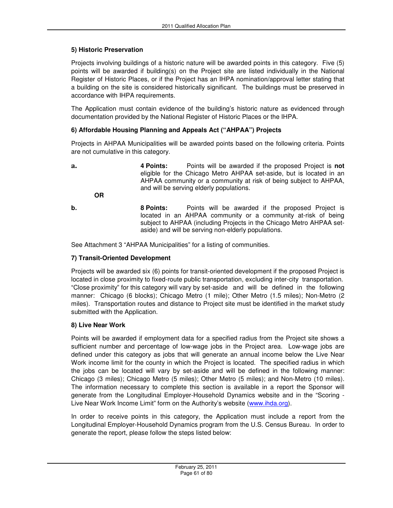### **5) Historic Preservation**

Projects involving buildings of a historic nature will be awarded points in this category. Five (5) points will be awarded if building(s) on the Project site are listed individually in the National Register of Historic Places, or if the Project has an IHPA nomination/approval letter stating that a building on the site is considered historically significant. The buildings must be preserved in accordance with IHPA requirements.

The Application must contain evidence of the building's historic nature as evidenced through documentation provided by the National Register of Historic Places or the IHPA.

### **6) Affordable Housing Planning and Appeals Act ("AHPAA") Projects**

Projects in AHPAA Municipalities will be awarded points based on the following criteria. Points are not cumulative in this category.

**a. 4 Points:** Points will be awarded if the proposed Project is **not** eligible for the Chicago Metro AHPAA set-aside, but is located in an AHPAA community or a community at risk of being subject to AHPAA, and will be serving elderly populations. **OR** 

**b. 8 Points:** Points will be awarded if the proposed Project is located in an AHPAA community or a community at-risk of being subject to AHPAA (including Projects in the Chicago Metro AHPAA setaside) and will be serving non-elderly populations.

See Attachment 3 "AHPAA Municipalities" for a listing of communities.

### **7) Transit-Oriented Development**

Projects will be awarded six (6) points for transit-oriented development if the proposed Project is located in close proximity to fixed-route public transportation, excluding inter-city transportation. "Close proximity" for this category will vary by set-aside and will be defined in the following manner: Chicago (6 blocks); Chicago Metro (1 mile); Other Metro (1.5 miles); Non-Metro (2 miles). Transportation routes and distance to Project site must be identified in the market study submitted with the Application.

### **8) Live Near Work**

Points will be awarded if employment data for a specified radius from the Project site shows a sufficient number and percentage of low-wage jobs in the Project area. Low-wage jobs are defined under this category as jobs that will generate an annual income below the Live Near Work income limit for the county in which the Project is located. The specified radius in which the jobs can be located will vary by set-aside and will be defined in the following manner: Chicago (3 miles); Chicago Metro (5 miles); Other Metro (5 miles); and Non-Metro (10 miles). The information necessary to complete this section is available in a report the Sponsor will generate from the Longitudinal Employer-Household Dynamics website and in the "Scoring - Live Near Work Income Limit" form on the Authority's website (www.ihda.org).

In order to receive points in this category, the Application must include a report from the Longitudinal Employer-Household Dynamics program from the U.S. Census Bureau. In order to generate the report, please follow the steps listed below: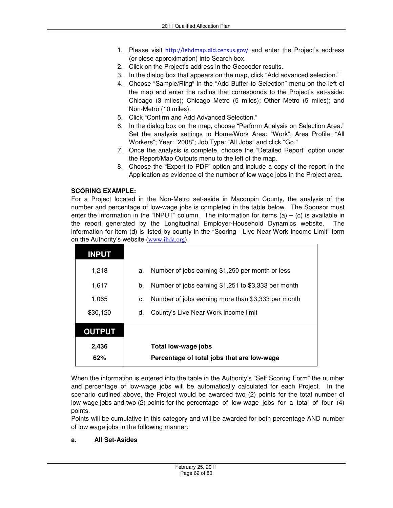- 1. Please visit http://lehdmap.did.census.gov/ and enter the Project's address (or close approximation) into Search box.
- 2. Click on the Project's address in the Geocoder results.
- 3. In the dialog box that appears on the map, click "Add advanced selection."
- 4. Choose "Sample/Ring" in the "Add Buffer to Selection" menu on the left of the map and enter the radius that corresponds to the Project's set-aside: Chicago (3 miles); Chicago Metro (5 miles); Other Metro (5 miles); and Non-Metro (10 miles).
- 5. Click "Confirm and Add Advanced Selection."
- 6. In the dialog box on the map, choose "Perform Analysis on Selection Area." Set the analysis settings to Home/Work Area: "Work"; Area Profile: "All Workers"; Year: "2008"; Job Type: "All Jobs" and click "Go."
- 7. Once the analysis is complete, choose the "Detailed Report" option under the Report/Map Outputs menu to the left of the map.
- 8. Choose the "Export to PDF" option and include a copy of the report in the Application as evidence of the number of low wage jobs in the Project area.

### **SCORING EXAMPLE:**

For a Project located in the Non-Metro set-aside in Macoupin County, the analysis of the number and percentage of low-wage jobs is completed in the table below. The Sponsor must enter the information in the "INPUT" column. The information for items (a)  $-$  (c) is available in the report generated by the Longitudinal Employer-Household Dynamics website. The information for item (d) is listed by county in the "Scoring - Live Near Work Income Limit" form on the Authority's website (www.ihda.org).

| <b>INPUT</b>  |    |                                                     |
|---------------|----|-----------------------------------------------------|
| 1,218         | a. | Number of jobs earning \$1,250 per month or less    |
| 1,617         | b. | Number of jobs earning \$1,251 to \$3,333 per month |
| 1,065         | c. | Number of jobs earning more than \$3,333 per month  |
| \$30,120      | d. | County's Live Near Work income limit                |
| <b>OUTPUT</b> |    |                                                     |
| 2,436         |    | Total low-wage jobs                                 |
| 62%           |    | Percentage of total jobs that are low-wage          |

When the information is entered into the table in the Authority's "Self Scoring Form" the number and percentage of low-wage jobs will be automatically calculated for each Project. In the scenario outlined above, the Project would be awarded two (2) points for the total number of low-wage jobs and two (2) points for the percentage of low-wage jobs for a total of four (4) points.

Points will be cumulative in this category and will be awarded for both percentage AND number of low wage jobs in the following manner:

### **a. All Set-Asides**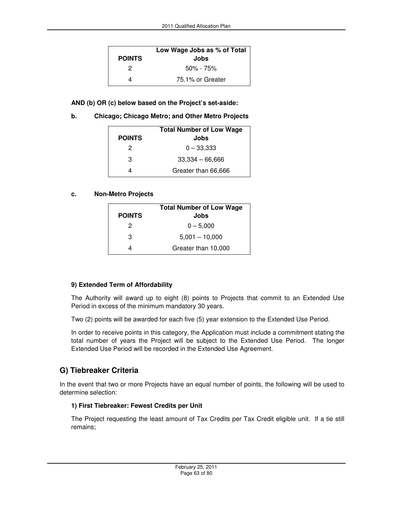|               | Low Wage Jobs as % of Total |  |  |
|---------------|-----------------------------|--|--|
| <b>POINTS</b> | Jobs                        |  |  |
| 2             | $50\% - 75\%$               |  |  |
|               | 75.1% or Greater            |  |  |

**AND (b) OR (c) below based on the Project's set-aside:** 

**b. Chicago; Chicago Metro; and Other Metro Projects**

|               | <b>Total Number of Low Wage</b> |
|---------------|---------------------------------|
| <b>POINTS</b> | Jobs                            |
| 2             | $0 - 33,333$                    |
| з             | $33,334 - 66,666$               |
|               | Greater than 66,666             |

#### **c. Non-Metro Projects**

|               | <b>Total Number of Low Wage</b> |
|---------------|---------------------------------|
| <b>POINTS</b> | Jobs                            |
| 2             | $0 - 5,000$                     |
| з             | $5,001 - 10,000$                |
|               | Greater than 10,000             |

### **9) Extended Term of Affordability**

The Authority will award up to eight (8) points to Projects that commit to an Extended Use Period in excess of the minimum mandatory 30 years.

Two (2) points will be awarded for each five (5) year extension to the Extended Use Period.

In order to receive points in this category, the Application must include a commitment stating the total number of years the Project will be subject to the Extended Use Period. The longer Extended Use Period will be recorded in the Extended Use Agreement.

# **G) Tiebreaker Criteria**

In the event that two or more Projects have an equal number of points, the following will be used to determine selection:

### **1) First Tiebreaker: Fewest Credits per Unit**

The Project requesting the least amount of Tax Credits per Tax Credit eligible unit. If a tie still remains;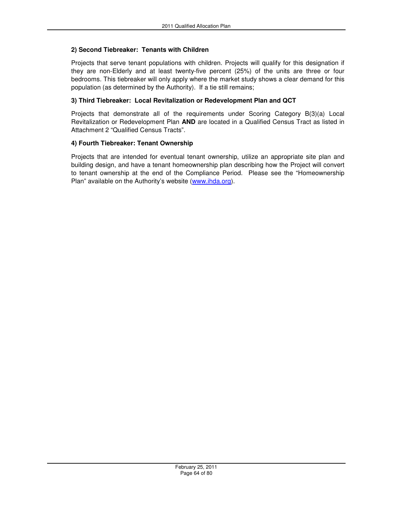### **2) Second Tiebreaker: Tenants with Children**

Projects that serve tenant populations with children. Projects will qualify for this designation if they are non-Elderly and at least twenty-five percent (25%) of the units are three or four bedrooms. This tiebreaker will only apply where the market study shows a clear demand for this population (as determined by the Authority). If a tie still remains;

### **3) Third Tiebreaker: Local Revitalization or Redevelopment Plan and QCT**

Projects that demonstrate all of the requirements under Scoring Category B(3)(a) Local Revitalization or Redevelopment Plan **AND** are located in a Qualified Census Tract as listed in Attachment 2 "Qualified Census Tracts".

#### **4) Fourth Tiebreaker: Tenant Ownership**

Projects that are intended for eventual tenant ownership, utilize an appropriate site plan and building design, and have a tenant homeownership plan describing how the Project will convert to tenant ownership at the end of the Compliance Period. Please see the "Homeownership Plan" available on the Authority's website (www.ihda.org).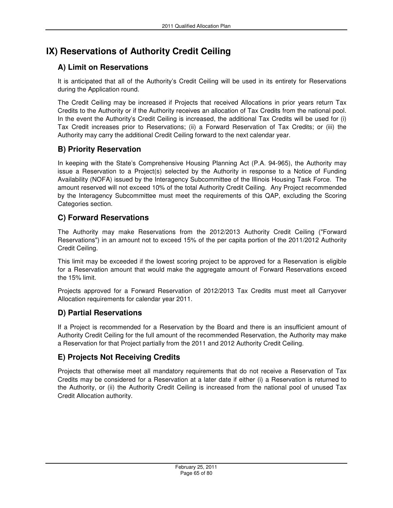# **IX) Reservations of Authority Credit Ceiling**

# **A) Limit on Reservations**

It is anticipated that all of the Authority's Credit Ceiling will be used in its entirety for Reservations during the Application round.

The Credit Ceiling may be increased if Projects that received Allocations in prior years return Tax Credits to the Authority or if the Authority receives an allocation of Tax Credits from the national pool. In the event the Authority's Credit Ceiling is increased, the additional Tax Credits will be used for (i) Tax Credit increases prior to Reservations; (ii) a Forward Reservation of Tax Credits; or (iii) the Authority may carry the additional Credit Ceiling forward to the next calendar year.

# **B) Priority Reservation**

In keeping with the State's Comprehensive Housing Planning Act (P.A. 94-965), the Authority may issue a Reservation to a Project(s) selected by the Authority in response to a Notice of Funding Availability (NOFA) issued by the Interagency Subcommittee of the Illinois Housing Task Force. The amount reserved will not exceed 10% of the total Authority Credit Ceiling. Any Project recommended by the Interagency Subcommittee must meet the requirements of this QAP, excluding the Scoring Categories section.

# **C) Forward Reservations**

The Authority may make Reservations from the 2012/2013 Authority Credit Ceiling ("Forward Reservations") in an amount not to exceed 15% of the per capita portion of the 2011/2012 Authority Credit Ceiling.

This limit may be exceeded if the lowest scoring project to be approved for a Reservation is eligible for a Reservation amount that would make the aggregate amount of Forward Reservations exceed the 15% limit.

Projects approved for a Forward Reservation of 2012/2013 Tax Credits must meet all Carryover Allocation requirements for calendar year 2011.

# **D) Partial Reservations**

If a Project is recommended for a Reservation by the Board and there is an insufficient amount of Authority Credit Ceiling for the full amount of the recommended Reservation, the Authority may make a Reservation for that Project partially from the 2011 and 2012 Authority Credit Ceiling.

# **E) Projects Not Receiving Credits**

Projects that otherwise meet all mandatory requirements that do not receive a Reservation of Tax Credits may be considered for a Reservation at a later date if either (i) a Reservation is returned to the Authority, or (ii) the Authority Credit Ceiling is increased from the national pool of unused Tax Credit Allocation authority.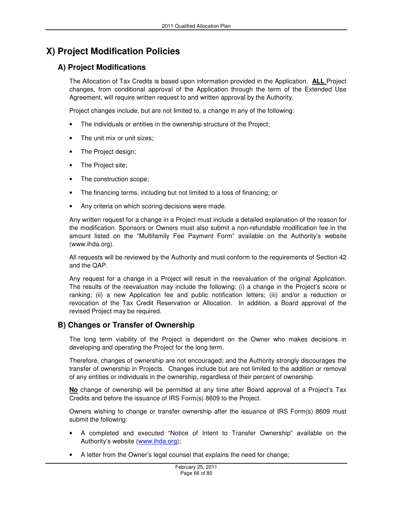# **X) Project Modification Policies**

# **A) Project Modifications**

The Allocation of Tax Credits is based upon information provided in the Application. **ALL** Project changes, from conditional approval of the Application through the term of the Extended Use Agreement, will require written request to and written approval by the Authority.

Project changes include, but are not limited to, a change in any of the following:

- The individuals or entities in the ownership structure of the Project;
- The unit mix or unit sizes;
- The Project design;
- The Project site;
- The construction scope;
- The financing terms, including but not limited to a loss of financing; or
- Any criteria on which scoring decisions were made.

Any written request for a change in a Project must include a detailed explanation of the reason for the modification. Sponsors or Owners must also submit a non-refundable modification fee in the amount listed on the "Multifamily Fee Payment Form" available on the Authority's website (www.ihda.org).

All requests will be reviewed by the Authority and must conform to the requirements of Section 42 and the QAP.

Any request for a change in a Project will result in the reevaluation of the original Application. The results of the reevaluation may include the following: (i) a change in the Project's score or ranking; (ii) a new Application fee and public notification letters; (iii) and/or a reduction or revocation of the Tax Credit Reservation or Allocation. In addition, a Board approval of the revised Project may be required.

# **B) Changes or Transfer of Ownership**

The long term viability of the Project is dependent on the Owner who makes decisions in developing and operating the Project for the long term.

Therefore, changes of ownership are not encouraged; and the Authority strongly discourages the transfer of ownership in Projects. Changes include but are not limited to the addition or removal of any entities or individuals in the ownership, regardless of their percent of ownership.

**No** change of ownership will be permitted at any time after Board approval of a Project's Tax Credits and before the issuance of IRS Form(s) 8609 to the Project.

Owners wishing to change or transfer ownership after the issuance of IRS Form(s) 8609 must submit the following:

- A completed and executed "Notice of Intent to Transfer Ownership" available on the Authority's website (www.ihda.org);
- A letter from the Owner's legal counsel that explains the need for change;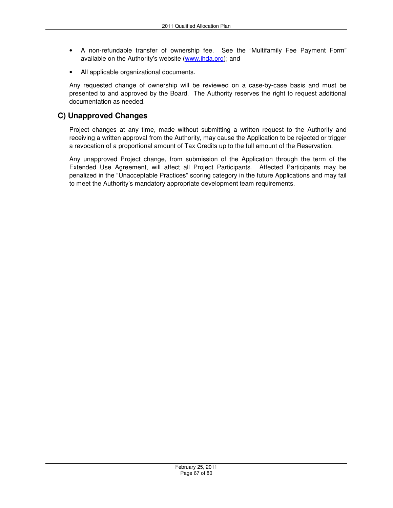- A non-refundable transfer of ownership fee. See the "Multifamily Fee Payment Form" available on the Authority's website (www.ihda.org); and
- All applicable organizational documents.

Any requested change of ownership will be reviewed on a case-by-case basis and must be presented to and approved by the Board. The Authority reserves the right to request additional documentation as needed.

## **C) Unapproved Changes**

Project changes at any time, made without submitting a written request to the Authority and receiving a written approval from the Authority, may cause the Application to be rejected or trigger a revocation of a proportional amount of Tax Credits up to the full amount of the Reservation.

Any unapproved Project change, from submission of the Application through the term of the Extended Use Agreement, will affect all Project Participants. Affected Participants may be penalized in the "Unacceptable Practices" scoring category in the future Applications and may fail to meet the Authority's mandatory appropriate development team requirements.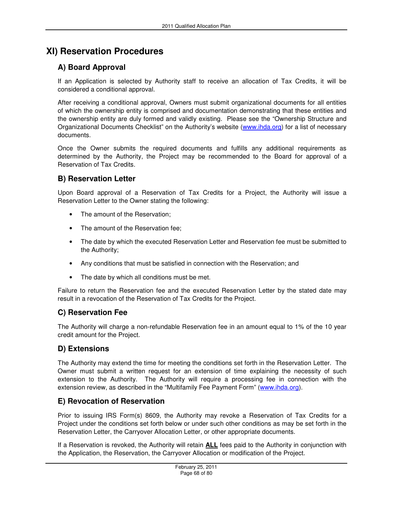# **XI) Reservation Procedures**

# **A) Board Approval**

If an Application is selected by Authority staff to receive an allocation of Tax Credits, it will be considered a conditional approval.

After receiving a conditional approval, Owners must submit organizational documents for all entities of which the ownership entity is comprised and documentation demonstrating that these entities and the ownership entity are duly formed and validly existing. Please see the "Ownership Structure and Organizational Documents Checklist" on the Authority's website (www.ihda.org) for a list of necessary documents.

Once the Owner submits the required documents and fulfills any additional requirements as determined by the Authority, the Project may be recommended to the Board for approval of a Reservation of Tax Credits.

# **B) Reservation Letter**

Upon Board approval of a Reservation of Tax Credits for a Project, the Authority will issue a Reservation Letter to the Owner stating the following:

- The amount of the Reservation;
- The amount of the Reservation fee;
- The date by which the executed Reservation Letter and Reservation fee must be submitted to the Authority;
- Any conditions that must be satisfied in connection with the Reservation; and
- The date by which all conditions must be met.

Failure to return the Reservation fee and the executed Reservation Letter by the stated date may result in a revocation of the Reservation of Tax Credits for the Project.

# **C) Reservation Fee**

The Authority will charge a non-refundable Reservation fee in an amount equal to 1% of the 10 year credit amount for the Project.

# **D) Extensions**

The Authority may extend the time for meeting the conditions set forth in the Reservation Letter. The Owner must submit a written request for an extension of time explaining the necessity of such extension to the Authority. The Authority will require a processing fee in connection with the extension review, as described in the "Multifamily Fee Payment Form" (www.ihda.org).

# **E) Revocation of Reservation**

Prior to issuing IRS Form(s) 8609, the Authority may revoke a Reservation of Tax Credits for a Project under the conditions set forth below or under such other conditions as may be set forth in the Reservation Letter, the Carryover Allocation Letter, or other appropriate documents.

If a Reservation is revoked, the Authority will retain **ALL** fees paid to the Authority in conjunction with the Application, the Reservation, the Carryover Allocation or modification of the Project.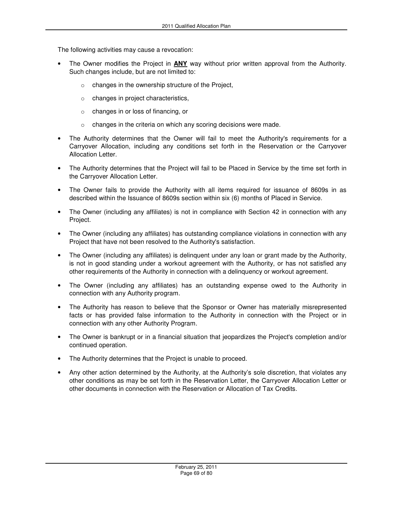The following activities may cause a revocation:

- The Owner modifies the Project in **ANY** way without prior written approval from the Authority. Such changes include, but are not limited to:
	- o changes in the ownership structure of the Project,
	- o changes in project characteristics,
	- o changes in or loss of financing, or
	- o changes in the criteria on which any scoring decisions were made.
- The Authority determines that the Owner will fail to meet the Authority's requirements for a Carryover Allocation, including any conditions set forth in the Reservation or the Carryover Allocation Letter.
- The Authority determines that the Project will fail to be Placed in Service by the time set forth in the Carryover Allocation Letter.
- The Owner fails to provide the Authority with all items required for issuance of 8609s in as described within the Issuance of 8609s section within six (6) months of Placed in Service.
- The Owner (including any affiliates) is not in compliance with Section 42 in connection with any Project.
- The Owner (including any affiliates) has outstanding compliance violations in connection with any Project that have not been resolved to the Authority's satisfaction.
- The Owner (including any affiliates) is delinquent under any loan or grant made by the Authority, is not in good standing under a workout agreement with the Authority, or has not satisfied any other requirements of the Authority in connection with a delinquency or workout agreement.
- The Owner (including any affiliates) has an outstanding expense owed to the Authority in connection with any Authority program.
- The Authority has reason to believe that the Sponsor or Owner has materially misrepresented facts or has provided false information to the Authority in connection with the Project or in connection with any other Authority Program.
- The Owner is bankrupt or in a financial situation that jeopardizes the Project's completion and/or continued operation.
- The Authority determines that the Project is unable to proceed.
- Any other action determined by the Authority, at the Authority's sole discretion, that violates any other conditions as may be set forth in the Reservation Letter, the Carryover Allocation Letter or other documents in connection with the Reservation or Allocation of Tax Credits.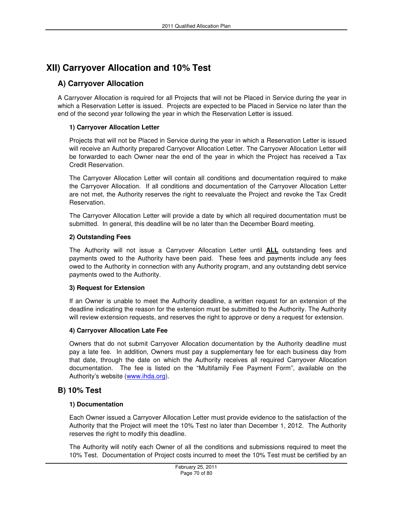# **XII) Carryover Allocation and 10% Test**

## **A) Carryover Allocation**

A Carryover Allocation is required for all Projects that will not be Placed in Service during the year in which a Reservation Letter is issued. Projects are expected to be Placed in Service no later than the end of the second year following the year in which the Reservation Letter is issued.

### **1) Carryover Allocation Letter**

Projects that will not be Placed in Service during the year in which a Reservation Letter is issued will receive an Authority prepared Carryover Allocation Letter. The Carryover Allocation Letter will be forwarded to each Owner near the end of the year in which the Project has received a Tax Credit Reservation.

The Carryover Allocation Letter will contain all conditions and documentation required to make the Carryover Allocation. If all conditions and documentation of the Carryover Allocation Letter are not met, the Authority reserves the right to reevaluate the Project and revoke the Tax Credit Reservation.

The Carryover Allocation Letter will provide a date by which all required documentation must be submitted. In general, this deadline will be no later than the December Board meeting.

#### **2) Outstanding Fees**

The Authority will not issue a Carryover Allocation Letter until **ALL** outstanding fees and payments owed to the Authority have been paid. These fees and payments include any fees owed to the Authority in connection with any Authority program, and any outstanding debt service payments owed to the Authority.

#### **3) Request for Extension**

If an Owner is unable to meet the Authority deadline, a written request for an extension of the deadline indicating the reason for the extension must be submitted to the Authority. The Authority will review extension requests, and reserves the right to approve or deny a request for extension.

#### **4) Carryover Allocation Late Fee**

Owners that do not submit Carryover Allocation documentation by the Authority deadline must pay a late fee. In addition, Owners must pay a supplementary fee for each business day from that date, through the date on which the Authority receives all required Carryover Allocation documentation. The fee is listed on the "Multifamily Fee Payment Form", available on the Authority's website (www.ihda.org).

## **B) 10% Test**

### **1) Documentation**

Each Owner issued a Carryover Allocation Letter must provide evidence to the satisfaction of the Authority that the Project will meet the 10% Test no later than December 1, 2012. The Authority reserves the right to modify this deadline.

The Authority will notify each Owner of all the conditions and submissions required to meet the 10% Test. Documentation of Project costs incurred to meet the 10% Test must be certified by an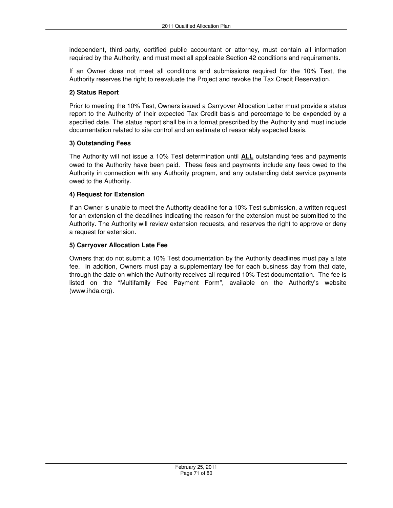independent, third-party, certified public accountant or attorney, must contain all information required by the Authority, and must meet all applicable Section 42 conditions and requirements.

If an Owner does not meet all conditions and submissions required for the 10% Test, the Authority reserves the right to reevaluate the Project and revoke the Tax Credit Reservation.

### **2) Status Report**

Prior to meeting the 10% Test, Owners issued a Carryover Allocation Letter must provide a status report to the Authority of their expected Tax Credit basis and percentage to be expended by a specified date. The status report shall be in a format prescribed by the Authority and must include documentation related to site control and an estimate of reasonably expected basis.

#### **3) Outstanding Fees**

The Authority will not issue a 10% Test determination until **ALL** outstanding fees and payments owed to the Authority have been paid. These fees and payments include any fees owed to the Authority in connection with any Authority program, and any outstanding debt service payments owed to the Authority.

#### **4) Request for Extension**

If an Owner is unable to meet the Authority deadline for a 10% Test submission, a written request for an extension of the deadlines indicating the reason for the extension must be submitted to the Authority. The Authority will review extension requests, and reserves the right to approve or deny a request for extension.

#### **5) Carryover Allocation Late Fee**

Owners that do not submit a 10% Test documentation by the Authority deadlines must pay a late fee. In addition, Owners must pay a supplementary fee for each business day from that date, through the date on which the Authority receives all required 10% Test documentation. The fee is listed on the "Multifamily Fee Payment Form", available on the Authority's website (www.ihda.org).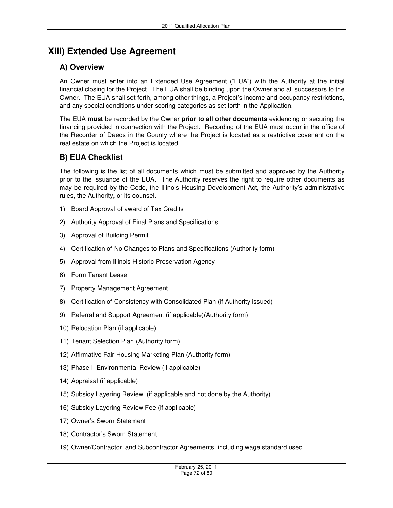# **XIII) Extended Use Agreement**

# **A) Overview**

An Owner must enter into an Extended Use Agreement ("EUA") with the Authority at the initial financial closing for the Project. The EUA shall be binding upon the Owner and all successors to the Owner. The EUA shall set forth, among other things, a Project's income and occupancy restrictions, and any special conditions under scoring categories as set forth in the Application.

The EUA **must** be recorded by the Owner **prior to all other documents** evidencing or securing the financing provided in connection with the Project. Recording of the EUA must occur in the office of the Recorder of Deeds in the County where the Project is located as a restrictive covenant on the real estate on which the Project is located.

# **B) EUA Checklist**

The following is the list of all documents which must be submitted and approved by the Authority prior to the issuance of the EUA. The Authority reserves the right to require other documents as may be required by the Code, the Illinois Housing Development Act, the Authority's administrative rules, the Authority, or its counsel.

- 1) Board Approval of award of Tax Credits
- 2) Authority Approval of Final Plans and Specifications
- 3) Approval of Building Permit
- 4) Certification of No Changes to Plans and Specifications (Authority form)
- 5) Approval from Illinois Historic Preservation Agency
- 6) Form Tenant Lease
- 7) Property Management Agreement
- 8) Certification of Consistency with Consolidated Plan (if Authority issued)
- 9) Referral and Support Agreement (if applicable)(Authority form)
- 10) Relocation Plan (if applicable)
- 11) Tenant Selection Plan (Authority form)
- 12) Affirmative Fair Housing Marketing Plan (Authority form)
- 13) Phase II Environmental Review (if applicable)
- 14) Appraisal (if applicable)
- 15) Subsidy Layering Review (if applicable and not done by the Authority)
- 16) Subsidy Layering Review Fee (if applicable)
- 17) Owner's Sworn Statement
- 18) Contractor's Sworn Statement
- 19) Owner/Contractor, and Subcontractor Agreements, including wage standard used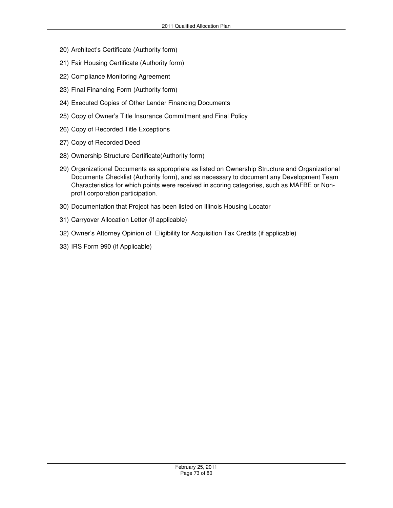- 20) Architect's Certificate (Authority form)
- 21) Fair Housing Certificate (Authority form)
- 22) Compliance Monitoring Agreement
- 23) Final Financing Form (Authority form)
- 24) Executed Copies of Other Lender Financing Documents
- 25) Copy of Owner's Title Insurance Commitment and Final Policy
- 26) Copy of Recorded Title Exceptions
- 27) Copy of Recorded Deed
- 28) Ownership Structure Certificate(Authority form)
- 29) Organizational Documents as appropriate as listed on Ownership Structure and Organizational Documents Checklist (Authority form), and as necessary to document any Development Team Characteristics for which points were received in scoring categories, such as MAFBE or Nonprofit corporation participation.
- 30) Documentation that Project has been listed on Illinois Housing Locator
- 31) Carryover Allocation Letter (if applicable)
- 32) Owner's Attorney Opinion of Eligibility for Acquisition Tax Credits (if applicable)
- 33) IRS Form 990 (if Applicable)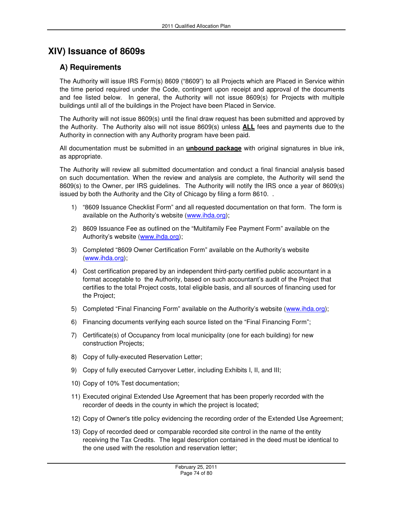## **XIV) Issuance of 8609s**

### **A) Requirements**

The Authority will issue IRS Form(s) 8609 ("8609") to all Projects which are Placed in Service within the time period required under the Code, contingent upon receipt and approval of the documents and fee listed below. In general, the Authority will not issue 8609(s) for Projects with multiple buildings until all of the buildings in the Project have been Placed in Service.

The Authority will not issue 8609(s) until the final draw request has been submitted and approved by the Authority. The Authority also will not issue 8609(s) unless **ALL** fees and payments due to the Authority in connection with any Authority program have been paid.

All documentation must be submitted in an **unbound package** with original signatures in blue ink, as appropriate.

The Authority will review all submitted documentation and conduct a final financial analysis based on such documentation. When the review and analysis are complete, the Authority will send the 8609(s) to the Owner, per IRS guidelines. The Authority will notify the IRS once a year of 8609(s) issued by both the Authority and the City of Chicago by filing a form 8610. .

- 1) "8609 Issuance Checklist Form" and all requested documentation on that form. The form is available on the Authority's website (www.ihda.org);
- 2) 8609 Issuance Fee as outlined on the "Multifamily Fee Payment Form" available on the Authority's website (www.ihda.org);
- 3) Completed "8609 Owner Certification Form" available on the Authority's website (www.ihda.org);
- 4) Cost certification prepared by an independent third-party certified public accountant in a format acceptable to the Authority, based on such accountant's audit of the Project that certifies to the total Project costs, total eligible basis, and all sources of financing used for the Project;
- 5) Completed "Final Financing Form" available on the Authority's website (www.ihda.org);
- 6) Financing documents verifying each source listed on the "Final Financing Form";
- 7) Certificate(s) of Occupancy from local municipality (one for each building) for new construction Projects;
- 8) Copy of fully-executed Reservation Letter;
- 9) Copy of fully executed Carryover Letter, including Exhibits I, II, and III;
- 10) Copy of 10% Test documentation;
- 11) Executed original Extended Use Agreement that has been properly recorded with the recorder of deeds in the county in which the project is located;
- 12) Copy of Owner's title policy evidencing the recording order of the Extended Use Agreement;
- 13) Copy of recorded deed or comparable recorded site control in the name of the entity receiving the Tax Credits. The legal description contained in the deed must be identical to the one used with the resolution and reservation letter;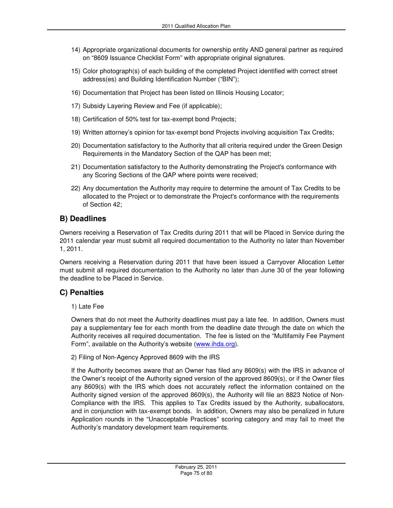- 14) Appropriate organizational documents for ownership entity AND general partner as required on "8609 Issuance Checklist Form" with appropriate original signatures.
- 15) Color photograph(s) of each building of the completed Project identified with correct street address(es) and Building Identification Number ("BIN");
- 16) Documentation that Project has been listed on Illinois Housing Locator;
- 17) Subsidy Layering Review and Fee (if applicable);
- 18) Certification of 50% test for tax-exempt bond Projects;
- 19) Written attorney's opinion for tax-exempt bond Projects involving acquisition Tax Credits;
- 20) Documentation satisfactory to the Authority that all criteria required under the Green Design Requirements in the Mandatory Section of the QAP has been met;
- 21) Documentation satisfactory to the Authority demonstrating the Project's conformance with any Scoring Sections of the QAP where points were received;
- 22) Any documentation the Authority may require to determine the amount of Tax Credits to be allocated to the Project or to demonstrate the Project's conformance with the requirements of Section 42;

#### **B) Deadlines**

Owners receiving a Reservation of Tax Credits during 2011 that will be Placed in Service during the 2011 calendar year must submit all required documentation to the Authority no later than November 1, 2011.

Owners receiving a Reservation during 2011 that have been issued a Carryover Allocation Letter must submit all required documentation to the Authority no later than June 30 of the year following the deadline to be Placed in Service.

### **C) Penalties**

1) Late Fee

Owners that do not meet the Authority deadlines must pay a late fee. In addition, Owners must pay a supplementary fee for each month from the deadline date through the date on which the Authority receives all required documentation. The fee is listed on the "Multifamily Fee Payment Form", available on the Authority's website (www.ihda.org).

#### 2) Filing of Non-Agency Approved 8609 with the IRS

If the Authority becomes aware that an Owner has filed any 8609(s) with the IRS in advance of the Owner's receipt of the Authority signed version of the approved 8609(s), or if the Owner files any 8609(s) with the IRS which does not accurately reflect the information contained on the Authority signed version of the approved 8609(s), the Authority will file an 8823 Notice of Non-Compliance with the IRS. This applies to Tax Credits issued by the Authority, suballocators, and in conjunction with tax-exempt bonds. In addition, Owners may also be penalized in future Application rounds in the "Unacceptable Practices" scoring category and may fail to meet the Authority's mandatory development team requirements.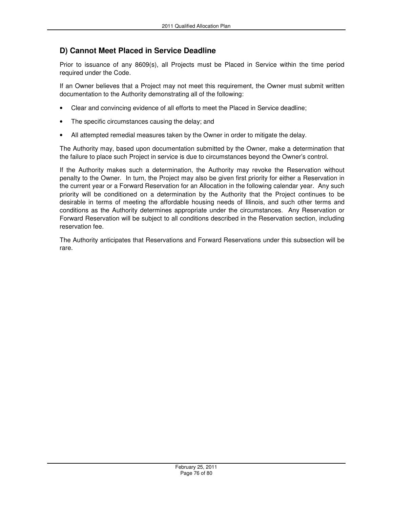### **D) Cannot Meet Placed in Service Deadline**

Prior to issuance of any 8609(s), all Projects must be Placed in Service within the time period required under the Code.

If an Owner believes that a Project may not meet this requirement, the Owner must submit written documentation to the Authority demonstrating all of the following:

- Clear and convincing evidence of all efforts to meet the Placed in Service deadline;
- The specific circumstances causing the delay; and
- All attempted remedial measures taken by the Owner in order to mitigate the delay.

The Authority may, based upon documentation submitted by the Owner, make a determination that the failure to place such Project in service is due to circumstances beyond the Owner's control.

If the Authority makes such a determination, the Authority may revoke the Reservation without penalty to the Owner. In turn, the Project may also be given first priority for either a Reservation in the current year or a Forward Reservation for an Allocation in the following calendar year. Any such priority will be conditioned on a determination by the Authority that the Project continues to be desirable in terms of meeting the affordable housing needs of Illinois, and such other terms and conditions as the Authority determines appropriate under the circumstances. Any Reservation or Forward Reservation will be subject to all conditions described in the Reservation section, including reservation fee.

The Authority anticipates that Reservations and Forward Reservations under this subsection will be rare.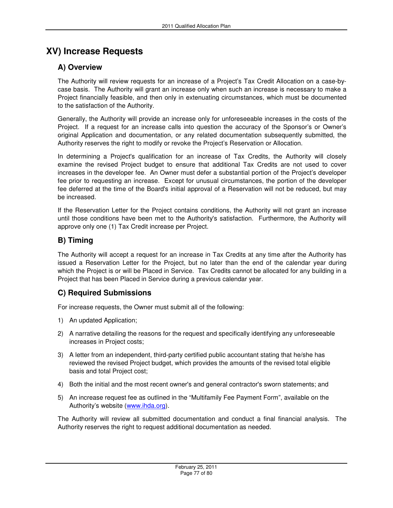## **XV) Increase Requests**

### **A) Overview**

The Authority will review requests for an increase of a Project's Tax Credit Allocation on a case-bycase basis. The Authority will grant an increase only when such an increase is necessary to make a Project financially feasible, and then only in extenuating circumstances, which must be documented to the satisfaction of the Authority.

Generally, the Authority will provide an increase only for unforeseeable increases in the costs of the Project. If a request for an increase calls into question the accuracy of the Sponsor's or Owner's original Application and documentation, or any related documentation subsequently submitted, the Authority reserves the right to modify or revoke the Project's Reservation or Allocation.

In determining a Project's qualification for an increase of Tax Credits, the Authority will closely examine the revised Project budget to ensure that additional Tax Credits are not used to cover increases in the developer fee. An Owner must defer a substantial portion of the Project's developer fee prior to requesting an increase. Except for unusual circumstances, the portion of the developer fee deferred at the time of the Board's initial approval of a Reservation will not be reduced, but may be increased.

If the Reservation Letter for the Project contains conditions, the Authority will not grant an increase until those conditions have been met to the Authority's satisfaction. Furthermore, the Authority will approve only one (1) Tax Credit increase per Project.

## **B) Timing**

The Authority will accept a request for an increase in Tax Credits at any time after the Authority has issued a Reservation Letter for the Project, but no later than the end of the calendar year during which the Project is or will be Placed in Service. Tax Credits cannot be allocated for any building in a Project that has been Placed in Service during a previous calendar year.

## **C) Required Submissions**

For increase requests, the Owner must submit all of the following:

- 1) An updated Application;
- 2) A narrative detailing the reasons for the request and specifically identifying any unforeseeable increases in Project costs;
- 3) A letter from an independent, third-party certified public accountant stating that he/she has reviewed the revised Project budget, which provides the amounts of the revised total eligible basis and total Project cost;
- 4) Both the initial and the most recent owner's and general contractor's sworn statements; and
- 5) An increase request fee as outlined in the "Multifamily Fee Payment Form", available on the Authority's website (www.ihda.org).

The Authority will review all submitted documentation and conduct a final financial analysis. The Authority reserves the right to request additional documentation as needed.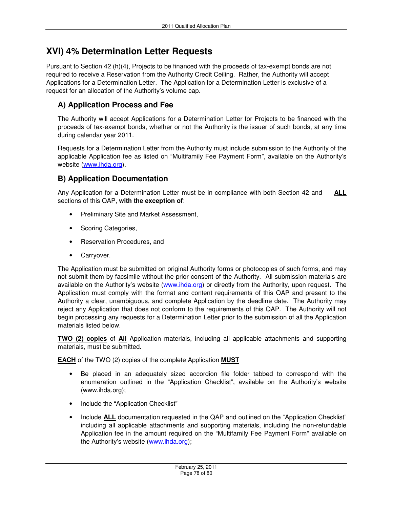## **XVI) 4% Determination Letter Requests**

Pursuant to Section 42 (h)(4), Projects to be financed with the proceeds of tax-exempt bonds are not required to receive a Reservation from the Authority Credit Ceiling. Rather, the Authority will accept Applications for a Determination Letter. The Application for a Determination Letter is exclusive of a request for an allocation of the Authority's volume cap.

### **A) Application Process and Fee**

The Authority will accept Applications for a Determination Letter for Projects to be financed with the proceeds of tax-exempt bonds, whether or not the Authority is the issuer of such bonds, at any time during calendar year 2011.

Requests for a Determination Letter from the Authority must include submission to the Authority of the applicable Application fee as listed on "Multifamily Fee Payment Form", available on the Authority's website (www.ihda.org).

### **B) Application Documentation**

Any Application for a Determination Letter must be in compliance with both Section 42 and **ALL** sections of this QAP, **with the exception of**:

- Preliminary Site and Market Assessment,
- Scoring Categories,
- Reservation Procedures, and
- Carryover.

The Application must be submitted on original Authority forms or photocopies of such forms, and may not submit them by facsimile without the prior consent of the Authority. All submission materials are available on the Authority's website (www.ihda.org) or directly from the Authority, upon request. The Application must comply with the format and content requirements of this QAP and present to the Authority a clear, unambiguous, and complete Application by the deadline date. The Authority may reject any Application that does not conform to the requirements of this QAP. The Authority will not begin processing any requests for a Determination Letter prior to the submission of all the Application materials listed below.

**TWO (2) copies** of **All** Application materials, including all applicable attachments and supporting materials, must be submitted.

**EACH** of the TWO (2) copies of the complete Application **MUST**

- Be placed in an adequately sized accordion file folder tabbed to correspond with the enumeration outlined in the "Application Checklist", available on the Authority's website (www.ihda.org);
- Include the "Application Checklist"
- Include **ALL** documentation requested in the QAP and outlined on the "Application Checklist" including all applicable attachments and supporting materials, including the non-refundable Application fee in the amount required on the "Multifamily Fee Payment Form" available on the Authority's website (www.ihda.org);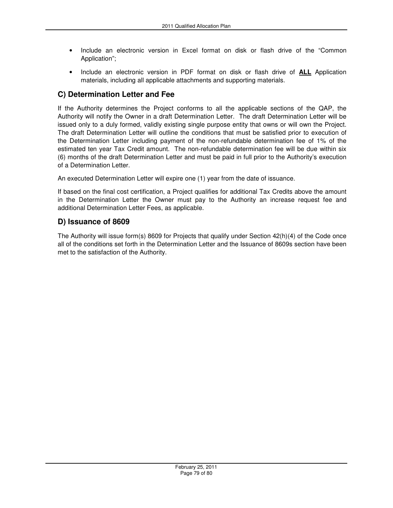- Include an electronic version in Excel format on disk or flash drive of the "Common Application";
- Include an electronic version in PDF format on disk or flash drive of **ALL** Application materials, including all applicable attachments and supporting materials.

### **C) Determination Letter and Fee**

If the Authority determines the Project conforms to all the applicable sections of the QAP, the Authority will notify the Owner in a draft Determination Letter. The draft Determination Letter will be issued only to a duly formed, validly existing single purpose entity that owns or will own the Project. The draft Determination Letter will outline the conditions that must be satisfied prior to execution of the Determination Letter including payment of the non-refundable determination fee of 1% of the estimated ten year Tax Credit amount. The non-refundable determination fee will be due within six (6) months of the draft Determination Letter and must be paid in full prior to the Authority's execution of a Determination Letter.

An executed Determination Letter will expire one (1) year from the date of issuance.

If based on the final cost certification, a Project qualifies for additional Tax Credits above the amount in the Determination Letter the Owner must pay to the Authority an increase request fee and additional Determination Letter Fees, as applicable.

### **D) Issuance of 8609**

The Authority will issue form(s) 8609 for Projects that qualify under Section 42(h)(4) of the Code once all of the conditions set forth in the Determination Letter and the Issuance of 8609s section have been met to the satisfaction of the Authority.